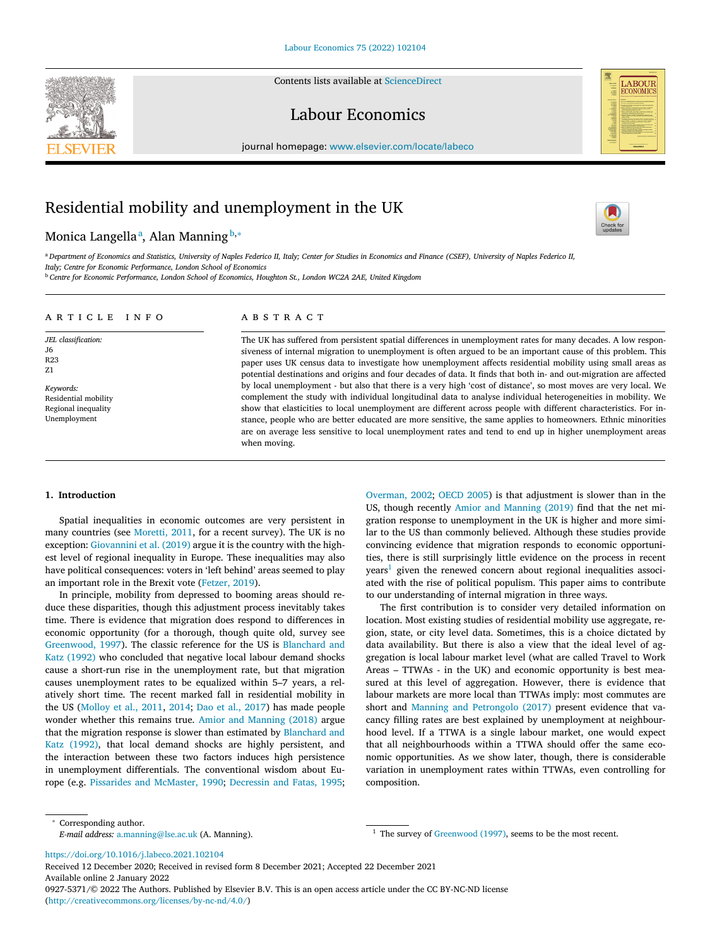Contents lists available at [ScienceDirect](http://www.ScienceDirect.com)



Labour Economics



# Residential mobility and unemployment in the UK

# Monica Langellaª, Alan Manning <sup>b,</sup>\*



LABOUR<br>ECONOMICS

<sup>a</sup> Department of Economics and Statistics, University of Naples Federico II, Italy; Center for Studies in Economics and Finance (CSEF), University of Naples Federico II, *Italy; Centre for Economic Performance, London School of Economics*

<sup>b</sup> *Centre for Economic Performance, London School of Economics, Houghton St., London WC2A 2AE, United Kingdom*

#### a r t i c l e i n f o

*JEL classification:* J6 R23 Z1

*Keywords:* Residential mobility Regional inequality Unemployment

## a b s t r a c t

The UK has suffered from persistent spatial differences in unemployment rates for many decades. A low responsiveness of internal migration to unemployment is often argued to be an important cause of this problem. This paper uses UK census data to investigate how unemployment affects residential mobility using small areas as potential destinations and origins and four decades of data. It finds that both in- and out-migration are affected by local unemployment - but also that there is a very high 'cost of distance', so most moves are very local. We complement the study with individual longitudinal data to analyse individual heterogeneities in mobility. We show that elasticities to local unemployment are different across people with different characteristics. For instance, people who are better educated are more sensitive, the same applies to homeowners. Ethnic minorities are on average less sensitive to local unemployment rates and tend to end up in higher unemployment areas when moving.

#### **1. Introduction**

Spatial inequalities in economic outcomes are very persistent in many countries (see [Moretti,](#page-12-0) 2011, for a recent survey). The UK is no exception: [Giovannini](#page-12-0) et al. (2019) argue it is the country with the highest level of regional inequality in Europe. These inequalities may also have political consequences: voters in 'left behind' areas seemed to play an important role in the Brexit vote [\(Fetzer,](#page-11-0) 2019).

In principle, mobility from depressed to booming areas should reduce these disparities, though this adjustment process inevitably takes time. There is evidence that migration does respond to differences in economic opportunity (for a thorough, though quite old, survey see [Greenwood,](#page-12-0) 1997). The classic reference for the US is Blanchard and Katz (1992) who concluded that negative local labour demand shocks cause a short-run rise in the unemployment rate, but that migration causes unemployment rates to be equalized within 5–7 years, a relatively short time. The recent marked fall in residential mobility in the US [\(Molloy](#page-12-0) et al., 2011, [2014;](#page-12-0) Dao et al., [2017\)](#page-11-0) has made people wonder whether this remains true. Amior and [Manning](#page-11-0) (2018) argue that the migration response is slower than estimated by Blanchard and Katz (1992), that local demand shocks are highly [persistent,](#page-11-0) and the interaction between these two factors induces high persistence in unemployment differentials. The conventional wisdom about Europe (e.g. Pissarides and [McMaster,](#page-12-0) 1990; [Decressin](#page-11-0) and Fatas, 1995; [Overman,](#page-12-0) 2002; [OECD](#page-12-0) 2005) is that adjustment is slower than in the US, though recently Amior and [Manning](#page-11-0) (2019) find that the net migration response to unemployment in the UK is higher and more similar to the US than commonly believed. Although these studies provide convincing evidence that migration responds to economic opportunities, there is still surprisingly little evidence on the process in recent  $years<sup>1</sup>$  given the renewed concern about regional inequalities associated with the rise of political populism. This paper aims to contribute to our understanding of internal migration in three ways.

The first contribution is to consider very detailed information on location. Most existing studies of residential mobility use aggregate, region, state, or city level data. Sometimes, this is a choice dictated by data availability. But there is also a view that the ideal level of aggregation is local labour market level (what are called Travel to Work Areas – TTWAs - in the UK) and economic opportunity is best measured at this level of aggregation. However, there is evidence that labour markets are more local than TTWAs imply: most commutes are short and Manning and [Petrongolo](#page-12-0) (2017) present evidence that vacancy filling rates are best explained by unemployment at neighbourhood level. If a TTWA is a single labour market, one would expect that all neighbourhoods within a TTWA should offer the same economic opportunities. As we show later, though, there is considerable variation in unemployment rates within TTWAs, even controlling for composition.

<sup>1</sup> The survey of [Greenwood](#page-12-0) (1997), seems to be the most recent.

<https://doi.org/10.1016/j.labeco.2021.102104>

Received 12 December 2020; Received in revised form 8 December 2021; Accepted 22 December 2021 Available online 2 January 2022 0927-5371/© 2022 The Authors. Published by Elsevier B.V. This is an open access article under the CC BY-NC-ND license [\(http://creativecommons.org/licenses/by-nc-nd/4.0/\)](http://creativecommons.org/licenses/by-nc-nd/4.0/)

<sup>∗</sup> Corresponding author.

*E-mail address:* [a.manning@lse.ac.uk](mailto:a.manning@lse.ac.uk) (A. Manning).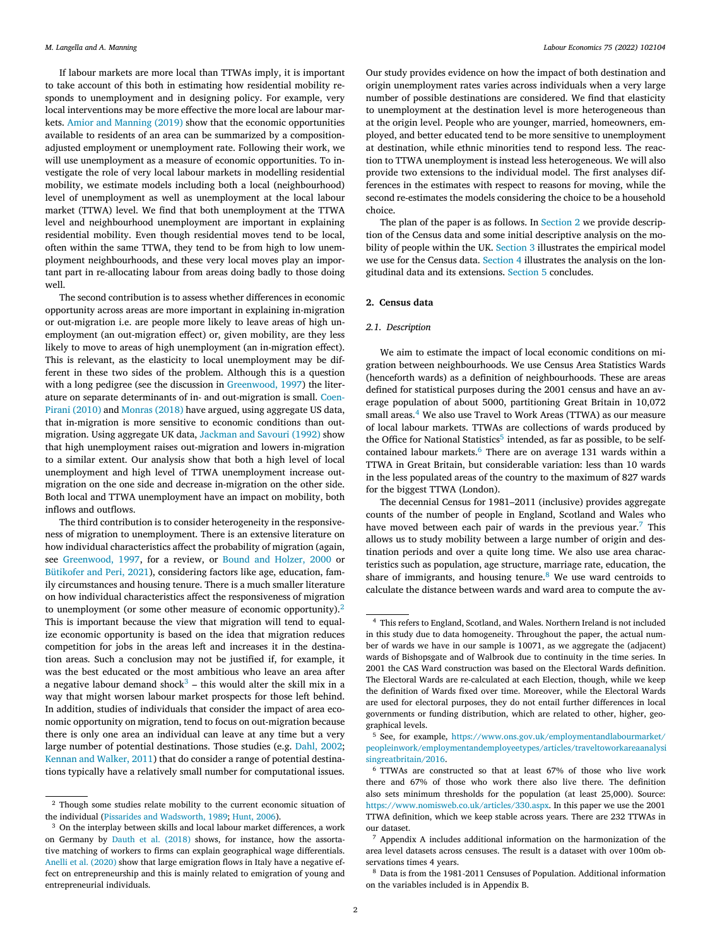If labour markets are more local than TTWAs imply, it is important to take account of this both in estimating how residential mobility responds to unemployment and in designing policy. For example, very local interventions may be more effective the more local are labour markets. Amior and [Manning](#page-11-0) (2019) show that the economic opportunities available to residents of an area can be summarized by a compositionadjusted employment or unemployment rate. Following their work, we will use unemployment as a measure of economic opportunities. To investigate the role of very local labour markets in modelling residential mobility, we estimate models including both a local (neighbourhood) level of unemployment as well as unemployment at the local labour market (TTWA) level. We find that both unemployment at the TTWA level and neighbourhood unemployment are important in explaining residential mobility. Even though residential moves tend to be local, often within the same TTWA, they tend to be from high to low unemployment neighbourhoods, and these very local moves play an important part in re-allocating labour from areas doing badly to those doing well.

The second contribution is to assess whether differences in economic opportunity across areas are more important in explaining in-migration or out-migration i.e. are people more likely to leave areas of high unemployment (an out-migration effect) or, given mobility, are they less likely to move to areas of high unemployment (an in-migration effect). This is relevant, as the elasticity to local unemployment may be different in these two sides of the problem. Although this is a question with a long pedigree (see the discussion in [Greenwood,](#page-12-0) 1997) the literature on separate determinants of in- and [out-migration](#page-11-0) is small. Coen-Pirani (2010) and [Monras](#page-12-0) (2018) have argued, using aggregate US data, that in-migration is more sensitive to economic conditions than outmigration. Using aggregate UK data, [Jackman](#page-12-0) and Savouri (1992) show that high unemployment raises out-migration and lowers in-migration to a similar extent. Our analysis show that both a high level of local unemployment and high level of TTWA unemployment increase outmigration on the one side and decrease in-migration on the other side. Both local and TTWA unemployment have an impact on mobility, both inflows and outflows.

The third contribution is to consider heterogeneity in the responsiveness of migration to unemployment. There is an extensive literature on how individual characteristics affect the probability of migration (again, see [Greenwood,](#page-12-0) 1997, for a review, or Bound and [Holzer,](#page-11-0) 2000 or [Bütikofer](#page-11-0) and Peri, 2021), considering factors like age, education, family circumstances and housing tenure. There is a much smaller literature on how individual characteristics affect the responsiveness of migration to unemployment (or some other measure of economic opportunity).<sup>2</sup> This is important because the view that migration will tend to equalize economic opportunity is based on the idea that migration reduces competition for jobs in the areas left and increases it in the destination areas. Such a conclusion may not be justified if, for example, it was the best educated or the most ambitious who leave an area after a negative labour demand shock<sup>3</sup> – this would alter the skill mix in a way that might worsen labour market prospects for those left behind. In addition, studies of individuals that consider the impact of area economic opportunity on migration, tend to focus on out-migration because there is only one area an individual can leave at any time but a very large number of potential destinations. Those studies (e.g. Dahl, [2002;](#page-11-0) Kennan and [Walker,](#page-12-0) 2011) that do consider a range of potential destinations typically have a relatively small number for computational issues.

<sup>2</sup> Though some studies relate mobility to the current economic situation of the individual (Pissarides and [Wadsworth,](#page-12-0) 1989; [Hunt,](#page-12-0) 2006).

Our study provides evidence on how the impact of both destination and origin unemployment rates varies across individuals when a very large number of possible destinations are considered. We find that elasticity to unemployment at the destination level is more heterogeneous than at the origin level. People who are younger, married, homeowners, employed, and better educated tend to be more sensitive to unemployment at destination, while ethnic minorities tend to respond less. The reaction to TTWA unemployment is instead less heterogeneous. We will also provide two extensions to the individual model. The first analyses differences in the estimates with respect to reasons for moving, while the second re-estimates the models considering the choice to be a household choice.

The plan of the paper is as follows. In Section 2 we provide description of the Census data and some initial descriptive analysis on the mo-bility of people within the UK. [Section](#page-4-0) 3 illustrates the empirical model we use for the Census data. [Section](#page-8-0) 4 illustrates the analysis on the longitudinal data and its extensions. [Section](#page-10-0) 5 concludes.

#### **2. Census data**

#### *2.1. Description*

We aim to estimate the impact of local economic conditions on migration between neighbourhoods. We use Census Area Statistics Wards (henceforth wards) as a definition of neighbourhoods. These are areas defined for statistical purposes during the 2001 census and have an average population of about 5000, partitioning Great Britain in 10,072 small areas.<sup>4</sup> We also use Travel to Work Areas (TTWA) as our measure of local labour markets. TTWAs are collections of wards produced by the Office for National Statistics<sup>5</sup> intended, as far as possible, to be selfcontained labour markets.<sup>6</sup> There are on average 131 wards within a TTWA in Great Britain, but considerable variation: less than 10 wards in the less populated areas of the country to the maximum of 827 wards for the biggest TTWA (London).

The decennial Census for 1981–2011 (inclusive) provides aggregate counts of the number of people in England, Scotland and Wales who have moved between each pair of wards in the previous year.<sup>7</sup> This allows us to study mobility between a large number of origin and destination periods and over a quite long time. We also use area characteristics such as population, age structure, marriage rate, education, the share of immigrants, and housing tenure. $8$  We use ward centroids to calculate the distance between wards and ward area to compute the av-

<sup>8</sup> Data is from the 1981-2011 Censuses of Population. Additional information on the variables included is in Appendix B.

<sup>&</sup>lt;sup>3</sup> On the interplay between skills and local labour market differences, a work on Germany by Dauth et al. [\(2018\)](#page-11-0) shows, for instance, how the assortative matching of workers to firms can explain geographical wage differentials. Anelli et al. [\(2020\)](#page-11-0) show that large emigration flows in Italy have a negative effect on entrepreneurship and this is mainly related to emigration of young and entrepreneurial individuals.

<sup>4</sup> This refers to England, Scotland, and Wales. Northern Ireland is not included in this study due to data homogeneity. Throughout the paper, the actual number of wards we have in our sample is 10071, as we aggregate the (adjacent) wards of Bishopsgate and of Walbrook due to continuity in the time series. In 2001 the CAS Ward construction was based on the Electoral Wards definition. The Electoral Wards are re-calculated at each Election, though, while we keep the definition of Wards fixed over time. Moreover, while the Electoral Wards are used for electoral purposes, they do not entail further differences in local governments or funding distribution, which are related to other, higher, geographical levels.

<sup>5</sup> See, for example, https://www.ons.gov.uk/employmentandlabourmarket/ [peopleinwork/employmentandemployeetypes/articles/traveltoworkareaanalysi](https://www.ons.gov.uk/employmentandlabourmarket/peopleinwork/employmentandemployeetypes/articles/traveltoworkareaanalysisingreatbritain/2016) singreatbritain/2016.

 $6$  TTWAs are constructed so that at least 67% of those who live work there and 67% of those who work there also live there. The definition also sets minimum thresholds for the population (at least 25,000). Source: [https://www.nomisweb.co.uk/articles/330.aspx.](https://www.nomisweb.co.uk/articles/330.aspx) In this paper we use the 2001 TTWA definition, which we keep stable across years. There are 232 TTWAs in our dataset.

<sup>7</sup> Appendix A includes additional information on the harmonization of the area level datasets across censuses. The result is a dataset with over 100m observations times 4 years.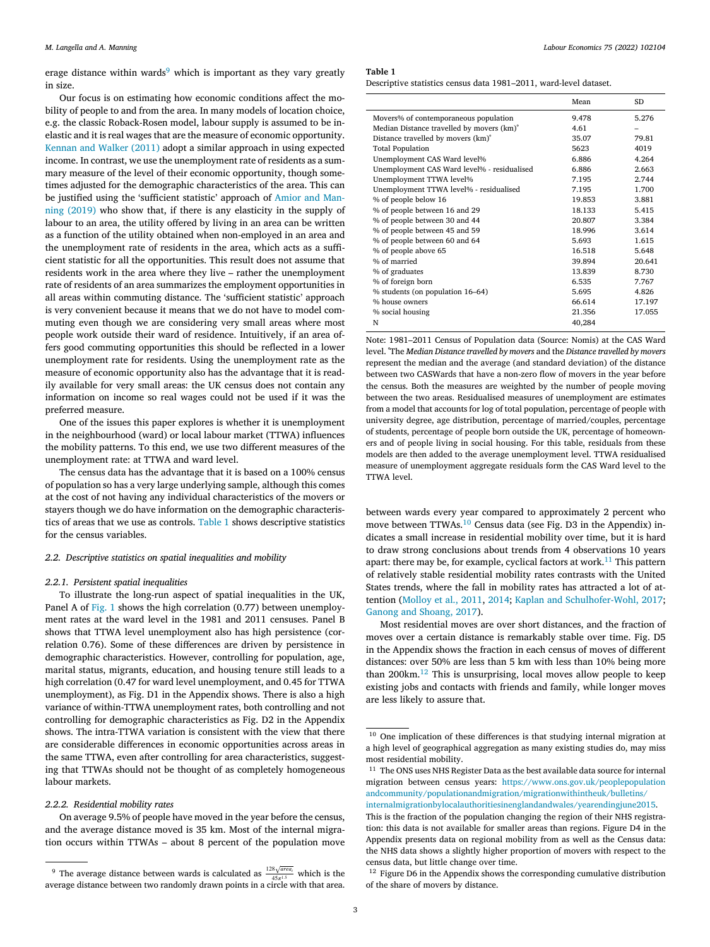erage distance within wards<sup>9</sup> which is important as they vary greatly in size.

Our focus is on estimating how economic conditions affect the mobility of people to and from the area. In many models of location choice, e.g. the classic Roback-Rosen model, labour supply is assumed to be inelastic and it is real wages that are the measure of economic opportunity. [Kennan](#page-12-0) and Walker (2011) adopt a similar approach in using expected income. In contrast, we use the unemployment rate of residents as a summary measure of the level of their economic opportunity, though sometimes adjusted for the demographic characteristics of the area. This can be justified using the ['sufficient](#page-11-0) statistic' approach of Amior and Manning (2019) who show that, if there is any elasticity in the supply of labour to an area, the utility offered by living in an area can be written as a function of the utility obtained when non-employed in an area and the unemployment rate of residents in the area, which acts as a sufficient statistic for all the opportunities. This result does not assume that residents work in the area where they live – rather the unemployment rate of residents of an area summarizes the employment opportunities in all areas within commuting distance. The 'sufficient statistic' approach is very convenient because it means that we do not have to model commuting even though we are considering very small areas where most people work outside their ward of residence. Intuitively, if an area offers good commuting opportunities this should be reflected in a lower unemployment rate for residents. Using the unemployment rate as the measure of economic opportunity also has the advantage that it is readily available for very small areas: the UK census does not contain any information on income so real wages could not be used if it was the preferred measure.

One of the issues this paper explores is whether it is unemployment in the neighbourhood (ward) or local labour market (TTWA) influences the mobility patterns. To this end, we use two different measures of the unemployment rate: at TTWA and ward level.

The census data has the advantage that it is based on a 100% census of population so has a very large underlying sample, although this comes at the cost of not having any individual characteristics of the movers or stayers though we do have information on the demographic characteristics of areas that we use as controls. Table 1 shows descriptive statistics for the census variables.

#### *2.2. Descriptive statistics on spatial inequalities and mobility*

#### *2.2.1. Persistent spatial inequalities*

To illustrate the long-run aspect of spatial inequalities in the UK, Panel A of [Fig.](#page-3-0) 1 shows the high correlation (0.77) between unemployment rates at the ward level in the 1981 and 2011 censuses. Panel B shows that TTWA level unemployment also has high persistence (correlation 0.76). Some of these differences are driven by persistence in demographic characteristics. However, controlling for population, age, marital status, migrants, education, and housing tenure still leads to a high correlation (0.47 for ward level unemployment, and 0.45 for TTWA unemployment), as Fig. D1 in the Appendix shows. There is also a high variance of within-TTWA unemployment rates, both controlling and not controlling for demographic characteristics as Fig. D2 in the Appendix shows. The intra-TTWA variation is consistent with the view that there are considerable differences in economic opportunities across areas in the same TTWA, even after controlling for area characteristics, suggesting that TTWAs should not be thought of as completely homogeneous labour markets.

### *2.2.2. Residential mobility rates*

On average 9.5% of people have moved in the year before the census, and the average distance moved is 35 km. Most of the internal migration occurs within TTWAs – about 8 percent of the population move

#### **Table 1**

Descriptive statistics census data 1981–2011, ward-level dataset.

|                                                | Mean   | SD     |
|------------------------------------------------|--------|--------|
| Movers% of contemporaneous population          | 9.478  | 5.276  |
| Median Distance travelled by movers (km)°      | 4.61   |        |
| Distance travelled by movers (km) <sup>°</sup> | 35.07  | 79.81  |
| <b>Total Population</b>                        | 5623   | 4019   |
| Unemployment CAS Ward level%                   | 6.886  | 4.264  |
| Unemployment CAS Ward level% - residualised    | 6.886  | 2.663  |
| Unemployment TTWA level%                       | 7.195  | 2.744  |
| Unemployment TTWA level% - residualised        | 7.195  | 1.700  |
| % of people below 16                           | 19.853 | 3.881  |
| % of people between 16 and 29                  | 18.133 | 5.415  |
| % of people between 30 and 44                  | 20.807 | 3.384  |
| % of people between 45 and 59                  | 18.996 | 3.614  |
| % of people between 60 and 64                  | 5.693  | 1.615  |
| % of people above 65                           | 16.518 | 5.648  |
| % of married                                   | 39.894 | 20.641 |
| % of graduates                                 | 13.839 | 8.730  |
| % of foreign born                              | 6.535  | 7.767  |
| % students (on population 16-64)               | 5.695  | 4.826  |
| % house owners                                 | 66.614 | 17.197 |
| % social housing                               | 21.356 | 17.055 |
| N                                              | 40,284 |        |

Note: 1981–2011 Census of Population data (Source: Nomis) at the CAS Ward level. ˚The *Median Distance travelled by movers* and the *Distance travelled by movers* represent the median and the average (and standard deviation) of the distance between two CASWards that have a non-zero flow of movers in the year before the census. Both the measures are weighted by the number of people moving between the two areas. Residualised measures of unemployment are estimates from a model that accounts for log of total population, percentage of people with university degree, age distribution, percentage of married/couples, percentage of students, percentage of people born outside the UK, percentage of homeowners and of people living in social housing. For this table, residuals from these models are then added to the average unemployment level. TTWA residualised measure of unemployment aggregate residuals form the CAS Ward level to the TTWA level.

between wards every year compared to approximately 2 percent who move between TTWAs.<sup>10</sup> Census data (see Fig. D3 in the Appendix) indicates a small increase in residential mobility over time, but it is hard to draw strong conclusions about trends from 4 observations 10 years apart: there may be, for example, cyclical factors at work.<sup>11</sup> This pattern of relatively stable residential mobility rates contrasts with the United States trends, where the fall in mobility rates has attracted a lot of attention [\(Molloy](#page-12-0) et al., 2011, [2014;](#page-12-0) Kaplan and [Schulhofer-Wohl,](#page-12-0) 2017; Ganong and [Shoang,](#page-12-0) 2017).

Most residential moves are over short distances, and the fraction of moves over a certain distance is remarkably stable over time. Fig. D5 in the Appendix shows the fraction in each census of moves of different distances: over 50% are less than 5 km with less than 10% being more than 200km.<sup>12</sup> This is unsurprising, local moves allow people to keep existing jobs and contacts with friends and family, while longer moves are less likely to assure that.

<sup>&</sup>lt;sup>9</sup> The average distance between wards is calculated as  $\frac{128\sqrt{area_i}}{45\pi^{1.5}}$  which is the average distance between two randomly drawn points in a circle with that area.

<sup>&</sup>lt;sup>10</sup> One implication of these differences is that studying internal migration at a high level of geographical aggregation as many existing studies do, may miss most residential mobility.

 $11$  The ONS uses NHS Register Data as the best available data source for internal migration between census years: https://www.ons.gov.uk/peoplepopulation andcommunity/populationandmigration/migrationwithintheuk/bulletins/

[internalmigrationbylocalauthoritiesinenglandandwales/yearendingjune2015.](https://www.ons.gov.uk/peoplepopulationandcommunity/populationandmigration/migrationwithintheuk/bulletins/internalmigrationbylocalauthoritiesinenglandandwales/yearendingjune2015) This is the fraction of the population changing the region of their NHS registration: this data is not available for smaller areas than regions. Figure D4 in the Appendix presents data on regional mobility from as well as the Census data: the NHS data shows a slightly higher proportion of movers with respect to the census data, but little change over time.

<sup>&</sup>lt;sup>12</sup> Figure D6 in the Appendix shows the corresponding cumulative distribution of the share of movers by distance.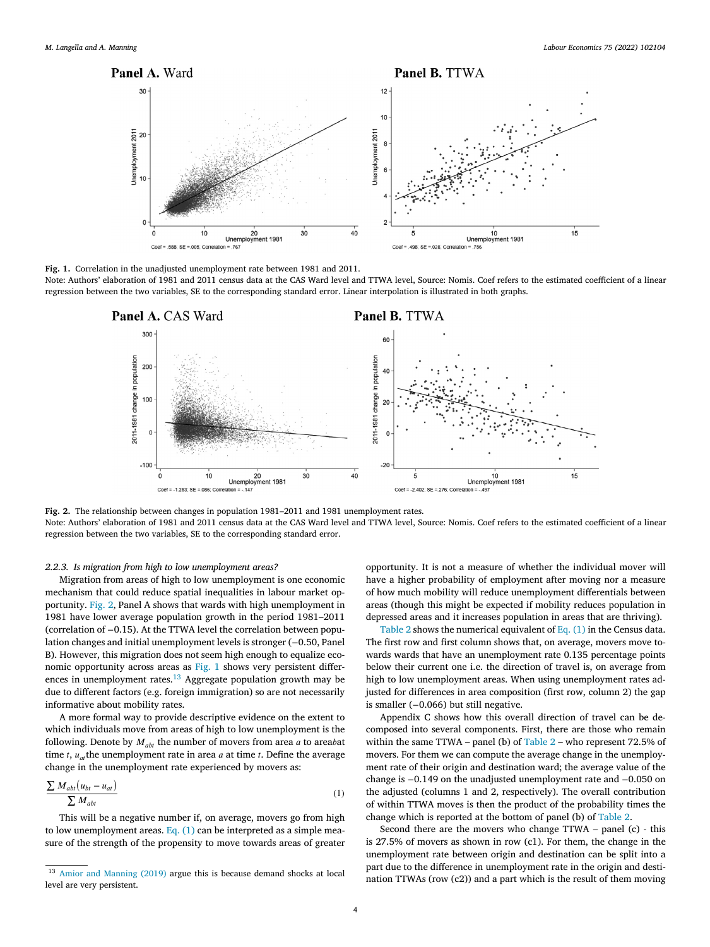<span id="page-3-0"></span>

**Fig. 1.** Correlation in the unadjusted unemployment rate between 1981 and 2011.

Note: Authors' elaboration of 1981 and 2011 census data at the CAS Ward level and TTWA level, Source: Nomis. Coef refers to the estimated coefficient of a linear regression between the two variables, SE to the corresponding standard error. Linear interpolation is illustrated in both graphs.



**Fig. 2.** The relationship between changes in population 1981–2011 and 1981 unemployment rates. Note: Authors' elaboration of 1981 and 2011 census data at the CAS Ward level and TTWA level, Source: Nomis. Coef refers to the estimated coefficient of a linear regression between the two variables, SE to the corresponding standard error.

#### *2.2.3. Is migration from high to low unemployment areas?*

Migration from areas of high to low unemployment is one economic mechanism that could reduce spatial inequalities in labour market opportunity. Fig. 2, Panel A shows that wards with high unemployment in 1981 have lower average population growth in the period 1981–2011 (correlation of −0.15). At the TTWA level the correlation between population changes and initial unemployment levels is stronger (−0.50, Panel B). However, this migration does not seem high enough to equalize economic opportunity across areas as Fig. 1 shows very persistent differences in unemployment rates. $13$  Aggregate population growth may be due to different factors (e.g. foreign immigration) so are not necessarily informative about mobility rates.

A more formal way to provide descriptive evidence on the extent to which individuals move from areas of high to low unemployment is the following. Denote by  $M_{ab}$  the number of movers from area  $a$  to areabat time *t*,  $u_{at}$  the unemployment rate in area *a* at time *t*. Define the average change in the unemployment rate experienced by movers as:

$$
\frac{\sum M_{abt} (u_{bt} - u_{at})}{\sum M_{abt}}
$$
 (1)

This will be a negative number if, on average, movers go from high to low unemployment areas. Eq.  $(1)$  can be interpreted as a simple measure of the strength of the propensity to move towards areas of greater

opportunity. It is not a measure of whether the individual mover will have a higher probability of employment after moving nor a measure of how much mobility will reduce unemployment differentials between areas (though this might be expected if mobility reduces population in depressed areas and it increases population in areas that are thriving).

[Table](#page-4-0) 2 shows the numerical equivalent of Eq.  $(1)$  in the Census data. The first row and first column shows that, on average, movers move towards wards that have an unemployment rate 0.135 percentage points below their current one i.e. the direction of travel is, on average from high to low unemployment areas. When using unemployment rates adjusted for differences in area composition (first row, column 2) the gap is smaller (−0.066) but still negative.

Appendix C shows how this overall direction of travel can be decomposed into several components. First, there are those who remain within the same TTWA – panel (b) of [Table](#page-4-0) 2 – who represent 72.5% of movers. For them we can compute the average change in the unemployment rate of their origin and destination ward; the average value of the change is −0.149 on the unadjusted unemployment rate and −0.050 on the adjusted (columns 1 and 2, respectively). The overall contribution of within TTWA moves is then the product of the probability times the change which is reported at the bottom of panel (b) of [Table](#page-4-0) 2.

Second there are the movers who change TTWA – panel (c) - this is 27.5% of movers as shown in row (c1). For them, the change in the unemployment rate between origin and destination can be split into a part due to the difference in unemployment rate in the origin and destination TTWAs (row (c2)) and a part which is the result of them moving

<sup>13</sup> Amior and [Manning](#page-11-0) (2019) argue this is because demand shocks at local level are very persistent.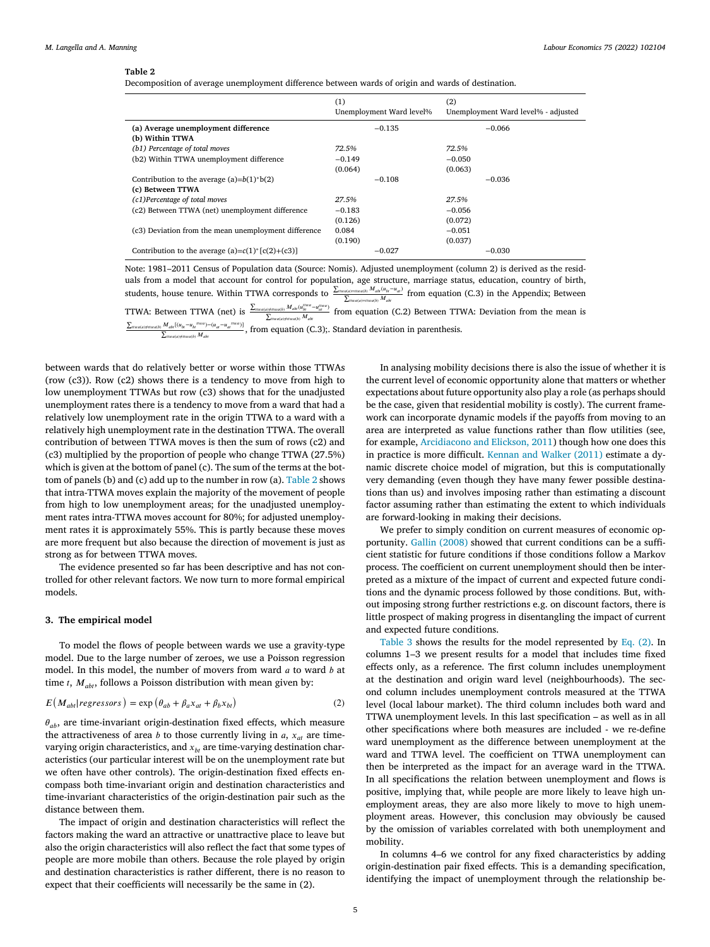<span id="page-4-0"></span>Decomposition of average unemployment difference between wards of origin and wards of destination.

|                                                       | (1)<br>Unemployment Ward level% | (2)<br>Unemployment Ward level% - adjusted |
|-------------------------------------------------------|---------------------------------|--------------------------------------------|
| (a) Average unemployment difference                   | $-0.135$                        | $-0.066$                                   |
| (b) Within TTWA                                       |                                 |                                            |
| (b1) Percentage of total moves                        | 72.5%                           | 72.5%                                      |
| (b2) Within TTWA unemployment difference              | $-0.149$                        | $-0.050$                                   |
|                                                       | (0.064)                         | (0.063)                                    |
| Contribution to the average $(a)=b(1)*b(2)$           | $-0.108$                        | $-0.036$                                   |
| (c) Between TTWA                                      |                                 |                                            |
| (c1)Percentage of total moves                         | 27.5%                           | 27.5%                                      |
| (c2) Between TTWA (net) unemployment difference       | $-0.183$                        | $-0.056$                                   |
|                                                       | (0.126)                         | (0.072)                                    |
| (c3) Deviation from the mean unemployment difference  | 0.084                           | $-0.051$                                   |
|                                                       | (0.190)                         | (0.037)                                    |
| Contribution to the average $(a)=c(1)^{*}[c(2)+(c3)]$ | $-0.027$                        | $-0.030$                                   |

Note: 1981–2011 Census of Population data (Source: Nomis). Adjusted unemployment (column 2) is derived as the residuals from a model that account for control for population, age structure, marriage status, education, country of birth, students, house tenure. Within TTWA corresponds to  $\frac{\sum_{\text{int}(a) = \text{int}(a)} a_{\text{int}}(u_{\text{int}} - u_{\text{int}})}{\sum_{\text{int}(a) = \text{int}(a)} b_{\text{int}}}$  from equation (C.3) in the Appendix; Between

TTWA: Between TTWA (net) is  $\frac{\sum_{\text{inted}(p)H\text{int}(q) \to H\text{int}(q)} M_{\text{adv}} - \mu_{\text{int}}^{\text{tr}}}{\sum_{\text{inted}(p)H\text{int}(q) \to H\text{int}(q) M_{\text{adv}}}}$  from equation (C.2) Between TTWA: Deviation from the mean is ∑

 $\frac{(\text{Higgs})\text{Higgs}(b)}{\sum_{\text{Higgs}(j\neq\text{Higgs}(b)}M_{ab}}$   $\frac{(\text{Higgs})-(\text{Higgs}+ \text{Higgs})}{\sum_{\text{Higgs}(j\neq\text{Higgs}(b)}M_{ab}}$ , from equation (C.3);. Standard deviation in parenthesis.

between wards that do relatively better or worse within those TTWAs (row (c3)). Row (c2) shows there is a tendency to move from high to low unemployment TTWAs but row (c3) shows that for the unadjusted unemployment rates there is a tendency to move from a ward that had a relatively low unemployment rate in the origin TTWA to a ward with a relatively high unemployment rate in the destination TTWA. The overall contribution of between TTWA moves is then the sum of rows (c2) and (c3) multiplied by the proportion of people who change TTWA (27.5%) which is given at the bottom of panel (c). The sum of the terms at the bottom of panels (b) and (c) add up to the number in row (a). Table 2 shows that intra-TTWA moves explain the majority of the movement of people from high to low unemployment areas; for the unadjusted unemployment rates intra-TTWA moves account for 80%; for adjusted unemployment rates it is approximately 55%. This is partly because these moves are more frequent but also because the direction of movement is just as strong as for between TTWA moves.

The evidence presented so far has been descriptive and has not controlled for other relevant factors. We now turn to more formal empirical models.

#### **3. The empirical model**

To model the flows of people between wards we use a gravity-type model. Due to the large number of zeroes, we use a Poisson regression model. In this model, the number of movers from ward  $a$  to ward  $b$  at time  $t$ ,  $M_{abt}$ , follows a Poisson distribution with mean given by:

$$
E(M_{abl}|regressors) = \exp(\theta_{ab} + \beta_a x_{at} + \beta_b x_{bt})
$$
\n(2)

 $\theta_{ab}$ , are time-invariant origin-destination fixed effects, which measure the attractiveness of area *b* to those currently living in *a*,  $x_{at}$  are timevarying origin characteristics, and  $x<sub>ht</sub>$  are time-varying destination characteristics (our particular interest will be on the unemployment rate but we often have other controls). The origin-destination fixed effects encompass both time-invariant origin and destination characteristics and time-invariant characteristics of the origin-destination pair such as the distance between them.

The impact of origin and destination characteristics will reflect the factors making the ward an attractive or unattractive place to leave but also the origin characteristics will also reflect the fact that some types of people are more mobile than others. Because the role played by origin and destination characteristics is rather different, there is no reason to expect that their coefficients will necessarily be the same in (2).

In analysing mobility decisions there is also the issue of whether it is the current level of economic opportunity alone that matters or whether expectations about future opportunity also play a role (as perhaps should be the case, given that residential mobility is costly). The current framework can incorporate dynamic models if the payoffs from moving to an area are interpreted as value functions rather than flow utilities (see, for example, [Arcidiacono](#page-11-0) and Elickson, 2011) though how one does this in practice is more difficult. [Kennan](#page-12-0) and Walker (2011) estimate a dynamic discrete choice model of migration, but this is computationally very demanding (even though they have many fewer possible destinations than us) and involves imposing rather than estimating a discount factor assuming rather than estimating the extent to which individuals are forward-looking in making their decisions.

We prefer to simply condition on current measures of economic opportunity. Gallin [\(2008\)](#page-12-0) showed that current conditions can be a sufficient statistic for future conditions if those conditions follow a Markov process. The coefficient on current unemployment should then be interpreted as a mixture of the impact of current and expected future conditions and the dynamic process followed by those conditions. But, without imposing strong further restrictions e.g. on discount factors, there is little prospect of making progress in disentangling the impact of current and expected future conditions.

[Table](#page-5-0) 3 shows the results for the model represented by Eq. (2). In columns 1–3 we present results for a model that includes time fixed effects only, as a reference. The first column includes unemployment at the destination and origin ward level (neighbourhoods). The second column includes unemployment controls measured at the TTWA level (local labour market). The third column includes both ward and TTWA unemployment levels. In this last specification – as well as in all other specifications where both measures are included - we re-define ward unemployment as the difference between unemployment at the ward and TTWA level. The coefficient on TTWA unemployment can then be interpreted as the impact for an average ward in the TTWA. In all specifications the relation between unemployment and flows is positive, implying that, while people are more likely to leave high unemployment areas, they are also more likely to move to high unemployment areas. However, this conclusion may obviously be caused by the omission of variables correlated with both unemployment and mobility.

In columns 4–6 we control for any fixed characteristics by adding origin-destination pair fixed effects. This is a demanding specification, identifying the impact of unemployment through the relationship be-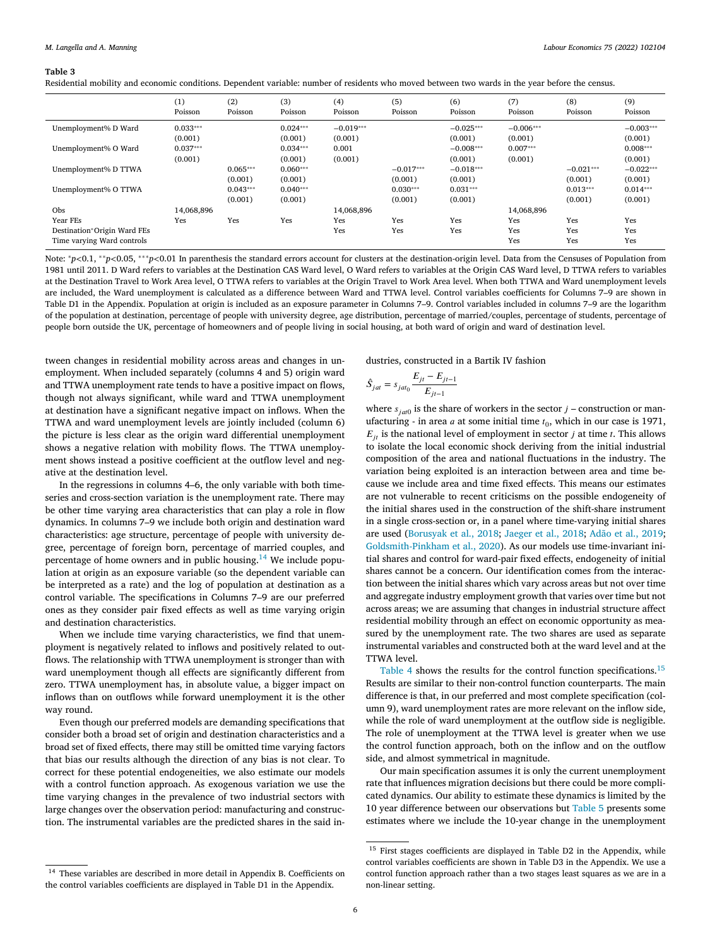<span id="page-5-0"></span>Residential mobility and economic conditions. Dependent variable: number of residents who moved between two wards in the year before the census.

|                             | (1)<br>Poisson | (2)<br>Poisson | (3)<br>Poisson | (4)<br>Poisson | (5)<br>Poisson | (6)<br>Poisson | (7)<br>Poisson | (8)<br>Poisson | (9)<br>Poisson |
|-----------------------------|----------------|----------------|----------------|----------------|----------------|----------------|----------------|----------------|----------------|
| Unemployment% D Ward        | $0.033***$     |                | $0.024***$     | $-0.019***$    |                | $-0.025***$    | $-0.006***$    |                | $-0.003***$    |
|                             | (0.001)        |                | (0.001)        | (0.001)        |                | (0.001)        | (0.001)        |                | (0.001)        |
| Unemployment% O Ward        | $0.037***$     |                | $0.034***$     | 0.001          |                | $-0.008***$    | $0.007***$     |                | $0.008***$     |
|                             | (0.001)        |                | (0.001)        | (0.001)        |                | (0.001)        | (0.001)        |                | (0.001)        |
| Unemployment% D TTWA        |                | $0.065***$     | $0.060***$     |                | $-0.017***$    | $-0.018***$    |                | $-0.021***$    | $-0.022***$    |
|                             |                | (0.001)        | (0.001)        |                | (0.001)        | (0.001)        |                | (0.001)        | (0.001)        |
| Unemployment% O TTWA        |                | $0.043***$     | $0.040***$     |                | $0.030***$     | $0.031***$     |                | $0.013***$     | $0.014***$     |
|                             |                | (0.001)        | (0.001)        |                | (0.001)        | (0.001)        |                | (0.001)        | (0.001)        |
| Obs                         | 14,068,896     |                |                | 14.068.896     |                |                | 14.068.896     |                |                |
| Year FEs                    | Yes            | Yes            | Yes            | Yes            | Yes            | Yes            | Yes            | Yes            | Yes            |
| Destination*Origin Ward FEs |                |                |                | Yes            | Yes            | Yes            | Yes            | Yes            | Yes            |
| Time varying Ward controls  |                |                |                |                |                |                | Yes            | Yes            | Yes            |

Note: <sup>∗</sup>*p<*0.1, ∗∗*p<*0.05, ∗∗∗*p<*0.01 In parenthesis the standard errors account for clusters at the destination-origin level. Data from the Censuses of Population from 1981 until 2011. D Ward refers to variables at the Destination CAS Ward level, O Ward refers to variables at the Origin CAS Ward level, D TTWA refers to variables at the Destination Travel to Work Area level, O TTWA refers to variables at the Origin Travel to Work Area level. When both TTWA and Ward unemployment levels are included, the Ward unemployment is calculated as a difference between Ward and TTWA level. Control variables coefficients for Columns 7–9 are shown in Table D1 in the Appendix. Population at origin is included as an exposure parameter in Columns 7–9. Control variables included in columns 7–9 are the logarithm of the population at destination, percentage of people with university degree, age distribution, percentage of married/couples, percentage of students, percentage of people born outside the UK, percentage of homeowners and of people living in social housing, at both ward of origin and ward of destination level.

tween changes in residential mobility across areas and changes in unemployment. When included separately (columns 4 and 5) origin ward and TTWA unemployment rate tends to have a positive impact on flows, though not always significant, while ward and TTWA unemployment at destination have a significant negative impact on inflows. When the TTWA and ward unemployment levels are jointly included (column 6) the picture is less clear as the origin ward differential unemployment shows a negative relation with mobility flows. The TTWA unemployment shows instead a positive coefficient at the outflow level and negative at the destination level.

In the regressions in columns 4–6, the only variable with both timeseries and cross-section variation is the unemployment rate. There may be other time varying area characteristics that can play a role in flow dynamics. In columns 7–9 we include both origin and destination ward characteristics: age structure, percentage of people with university degree, percentage of foreign born, percentage of married couples, and percentage of home owners and in public housing.<sup>14</sup> We include population at origin as an exposure variable (so the dependent variable can be interpreted as a rate) and the log of population at destination as a control variable. The specifications in Columns 7–9 are our preferred ones as they consider pair fixed effects as well as time varying origin and destination characteristics.

When we include time varying characteristics, we find that unemployment is negatively related to inflows and positively related to outflows. The relationship with TTWA unemployment is stronger than with ward unemployment though all effects are significantly different from zero. TTWA unemployment has, in absolute value, a bigger impact on inflows than on outflows while forward unemployment it is the other way round.

Even though our preferred models are demanding specifications that consider both a broad set of origin and destination characteristics and a broad set of fixed effects, there may still be omitted time varying factors that bias our results although the direction of any bias is not clear. To correct for these potential endogeneities, we also estimate our models with a control function approach. As exogenous variation we use the time varying changes in the prevalence of two industrial sectors with large changes over the observation period: manufacturing and construction. The instrumental variables are the predicted shares in the said industries, constructed in a Bartik IV fashion

$$
\hat{S}_{jat} = s_{jat_0} \frac{E_{jt} - E_{jt-1}}{E_{jt-1}}
$$

where  $s_{i \alpha t0}$  is the share of workers in the sector  $j$  – construction or manufacturing - in area  $a$  at some initial time  $t_0$ , which in our case is 1971,  $E_{it}$  is the national level of employment in sector *j* at time *t*. This allows to isolate the local economic shock deriving from the initial industrial composition of the area and national fluctuations in the industry. The variation being exploited is an interaction between area and time because we include area and time fixed effects. This means our estimates are not vulnerable to recent criticisms on the possible endogeneity of the initial shares used in the construction of the shift-share instrument in a single cross-section or, in a panel where time-varying initial shares are used [\(Borusyak](#page-11-0) et al., 2018; [Jaeger](#page-12-0) et al., 2018; Adão et al., [2019;](#page-11-0) [Goldsmith-Pinkham](#page-12-0) et al., 2020). As our models use time-invariant initial shares and control for ward-pair fixed effects, endogeneity of initial shares cannot be a concern. Our identification comes from the interaction between the initial shares which vary across areas but not over time and aggregate industry employment growth that varies over time but not across areas; we are assuming that changes in industrial structure affect residential mobility through an effect on economic opportunity as measured by the unemployment rate. The two shares are used as separate instrumental variables and constructed both at the ward level and at the TTWA level.

[Table](#page-6-0) 4 shows the results for the control function specifications.<sup>15</sup> Results are similar to their non-control function counterparts. The main difference is that, in our preferred and most complete specification (column 9), ward unemployment rates are more relevant on the inflow side, while the role of ward unemployment at the outflow side is negligible. The role of unemployment at the TTWA level is greater when we use the control function approach, both on the inflow and on the outflow side, and almost symmetrical in magnitude.

Our main specification assumes it is only the current unemployment rate that influences migration decisions but there could be more complicated dynamics. Our ability to estimate these dynamics is limited by the 10 year difference between our observations but [Table](#page-6-0) 5 presents some estimates where we include the 10-year change in the unemployment

<sup>14</sup> These variables are described in more detail in Appendix B. Coefficients on the control variables coefficients are displayed in Table D1 in the Appendix.

 $^{15}$  First stages coefficients are displayed in Table D2 in the Appendix, while control variables coefficients are shown in Table D3 in the Appendix. We use a control function approach rather than a two stages least squares as we are in a non-linear setting.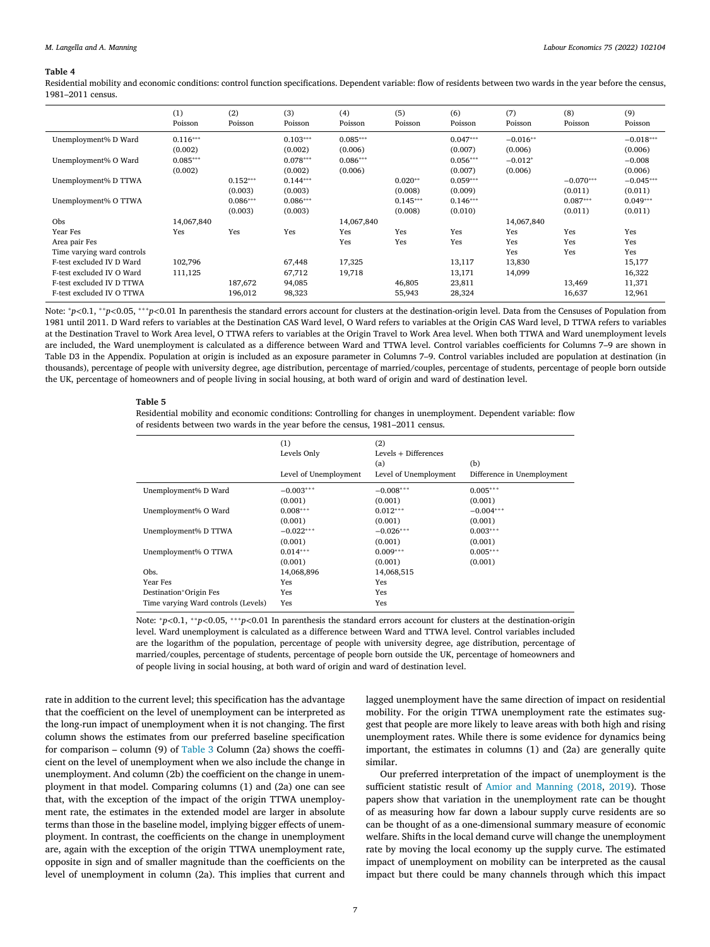<span id="page-6-0"></span>Residential mobility and economic conditions: control function specifications. Dependent variable: flow of residents between two wards in the year before the census, 1981–2011 census.

|                            | (1)<br>Poisson | (2)<br>Poisson | (3)<br>Poisson | (4)<br>Poisson | (5)<br>Poisson | (6)<br>Poisson | (7)<br>Poisson | (8)<br>Poisson | (9)<br>Poisson |
|----------------------------|----------------|----------------|----------------|----------------|----------------|----------------|----------------|----------------|----------------|
| Unemployment% D Ward       | $0.116***$     |                | $0.103***$     | $0.085***$     |                | $0.047***$     | $-0.016**$     |                | $-0.018***$    |
|                            | (0.002)        |                | (0.002)        | (0.006)        |                | (0.007)        | (0.006)        |                | (0.006)        |
| Unemployment% O Ward       | $0.085***$     |                | $0.078***$     | $0.086***$     |                | $0.056***$     | $-0.012*$      |                | $-0.008$       |
|                            | (0.002)        |                | (0.002)        | (0.006)        |                | (0.007)        | (0.006)        |                | (0.006)        |
| Unemployment% D TTWA       |                | $0.152***$     | $0.144***$     |                | $0.020**$      | $0.059***$     |                | $-0.070***$    | $-0.045***$    |
|                            |                | (0.003)        | (0.003)        |                | (0.008)        | (0.009)        |                | (0.011)        | (0.011)        |
| Unemployment% O TTWA       |                | $0.086***$     | $0.086***$     |                | $0.145***$     | $0.146***$     |                | $0.087***$     | $0.049***$     |
|                            |                | (0.003)        | (0.003)        |                | (0.008)        | (0.010)        |                | (0.011)        | (0.011)        |
| Obs                        | 14,067,840     |                |                | 14,067,840     |                |                | 14,067,840     |                |                |
| Year Fes                   | Yes            | Yes            | Yes            | Yes            | Yes            | Yes            | Yes            | Yes            | Yes            |
| Area pair Fes              |                |                |                | Yes            | Yes            | Yes            | Yes            | Yes            | Yes            |
| Time varying ward controls |                |                |                |                |                |                | Yes            | Yes            | Yes            |
| F-test excluded IV D Ward  | 102,796        |                | 67,448         | 17,325         |                | 13,117         | 13,830         |                | 15,177         |
| F-test excluded IV O Ward  | 111,125        |                | 67,712         | 19,718         |                | 13,171         | 14,099         |                | 16,322         |
| F-test excluded IV D TTWA  |                | 187,672        | 94,085         |                | 46,805         | 23,811         |                | 13,469         | 11,371         |
| F-test excluded IV O TTWA  |                | 196,012        | 98,323         |                | 55,943         | 28,324         |                | 16,637         | 12,961         |

Note: <sup>∗</sup>*p<*0.1, ∗∗*p<*0.05, ∗∗∗*p<*0.01 In parenthesis the standard errors account for clusters at the destination-origin level. Data from the Censuses of Population from 1981 until 2011. D Ward refers to variables at the Destination CAS Ward level, O Ward refers to variables at the Origin CAS Ward level, D TTWA refers to variables at the Destination Travel to Work Area level, O TTWA refers to variables at the Origin Travel to Work Area level. When both TTWA and Ward unemployment levels are included, the Ward unemployment is calculated as a difference between Ward and TTWA level. Control variables coefficients for Columns 7–9 are shown in Table D3 in the Appendix. Population at origin is included as an exposure parameter in Columns 7–9. Control variables included are population at destination (in thousands), percentage of people with university degree, age distribution, percentage of married/couples, percentage of students, percentage of people born outside the UK, percentage of homeowners and of people living in social housing, at both ward of origin and ward of destination level.

#### **Table 5**

Residential mobility and economic conditions: Controlling for changes in unemployment. Dependent variable: flow of residents between two wards in the year before the census, 1981–2011 census.

|                                     | (1)<br>Levels Only<br>Level of Unemployment | (2)<br>Levels + Differences<br>(a)<br>Level of Unemployment | (b)<br>Difference in Unemployment |
|-------------------------------------|---------------------------------------------|-------------------------------------------------------------|-----------------------------------|
| Unemployment% D Ward                | $-0.003***$                                 | $-0.008***$                                                 | $0.005***$                        |
|                                     | (0.001)                                     | (0.001)                                                     | (0.001)                           |
| Unemployment% O Ward                | $0.008***$                                  | $0.012***$                                                  | $-0.004***$                       |
|                                     | (0.001)                                     | (0.001)                                                     | (0.001)                           |
| Unemployment% D TTWA                | $-0.022***$                                 | $-0.026***$                                                 | $0.003***$                        |
|                                     | (0.001)                                     | (0.001)                                                     | (0.001)                           |
| Unemployment% O TTWA                | $0.014***$                                  | $0.009***$                                                  | $0.005***$                        |
|                                     | (0.001)                                     | (0.001)                                                     | (0.001)                           |
| Obs.                                | 14,068,896                                  | 14,068,515                                                  |                                   |
| Year Fes                            | Yes                                         | Yes                                                         |                                   |
| Destination*Origin Fes              | Yes                                         | Yes                                                         |                                   |
| Time varying Ward controls (Levels) | Yes                                         | Yes                                                         |                                   |

Note: <sup>∗</sup>*p<*0.1, ∗∗*p<*0.05, ∗∗∗*p<*0.01 In parenthesis the standard errors account for clusters at the destination-origin level. Ward unemployment is calculated as a difference between Ward and TTWA level. Control variables included are the logarithm of the population, percentage of people with university degree, age distribution, percentage of married/couples, percentage of students, percentage of people born outside the UK, percentage of homeowners and of people living in social housing, at both ward of origin and ward of destination level.

rate in addition to the current level; this specification has the advantage that the coefficient on the level of unemployment can be interpreted as the long-run impact of unemployment when it is not changing. The first column shows the estimates from our preferred baseline specification for comparison – column (9) of [Table](#page-5-0) 3 Column (2a) shows the coefficient on the level of unemployment when we also include the change in unemployment. And column (2b) the coefficient on the change in unemployment in that model. Comparing columns (1) and (2a) one can see that, with the exception of the impact of the origin TTWA unemployment rate, the estimates in the extended model are larger in absolute terms than those in the baseline model, implying bigger effects of unemployment. In contrast, the coefficients on the change in unemployment are, again with the exception of the origin TTWA unemployment rate, opposite in sign and of smaller magnitude than the coefficients on the level of unemployment in column (2a). This implies that current and

lagged unemployment have the same direction of impact on residential mobility. For the origin TTWA unemployment rate the estimates suggest that people are more likely to leave areas with both high and rising unemployment rates. While there is some evidence for dynamics being important, the estimates in columns (1) and (2a) are generally quite similar.

Our preferred interpretation of the impact of unemployment is the sufficient statistic result of Amior and [Manning](#page-11-0) (2018, [2019\)](#page-11-0). Those papers show that variation in the unemployment rate can be thought of as measuring how far down a labour supply curve residents are so can be thought of as a one-dimensional summary measure of economic welfare. Shifts in the local demand curve will change the unemployment rate by moving the local economy up the supply curve. The estimated impact of unemployment on mobility can be interpreted as the causal impact but there could be many channels through which this impact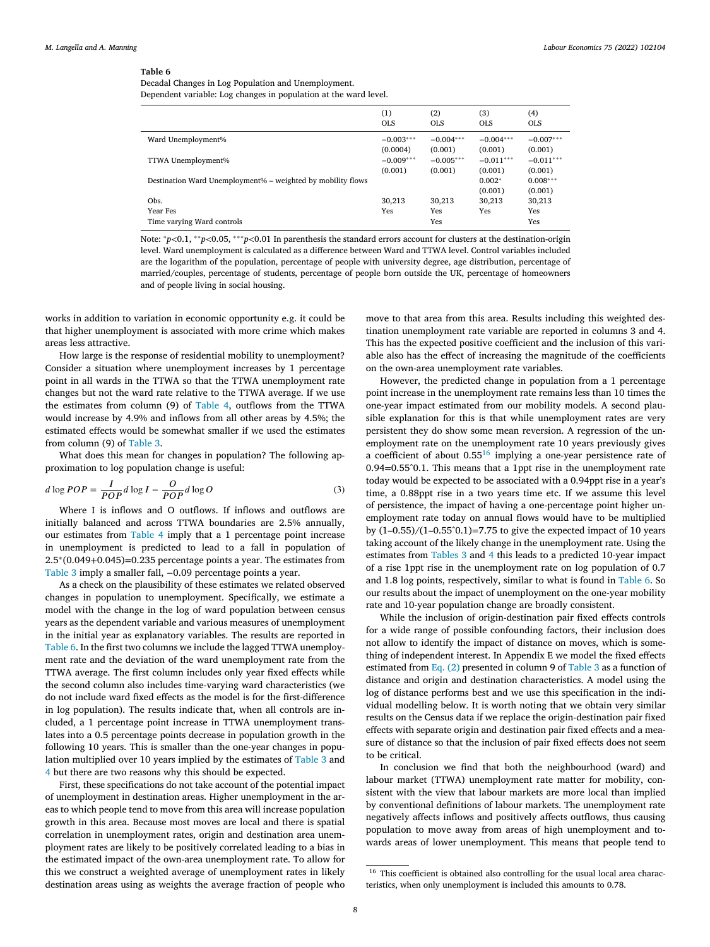Decadal Changes in Log Population and Unemployment. Dependent variable: Log changes in population at the ward level.

|                                                             | (1)<br><b>OLS</b> | (2)<br><b>OLS</b> | (3)<br><b>OLS</b> | (4)<br><b>OLS</b> |
|-------------------------------------------------------------|-------------------|-------------------|-------------------|-------------------|
| Ward Unemployment%                                          | $-0.003***$       | $-0.004***$       | $-0.004***$       | $-0.007***$       |
|                                                             | (0.0004)          | (0.001)           | (0.001)           | (0.001)           |
| TTWA Unemployment%                                          | $-0.009***$       | $-0.005***$       | $-0.011***$       | $-0.011***$       |
|                                                             | (0.001)           | (0.001)           | (0.001)           | (0.001)           |
| Destination Ward Unemployment% – weighted by mobility flows |                   |                   | $0.002*$          | $0.008***$        |
|                                                             |                   |                   | (0.001)           | (0.001)           |
| Obs.                                                        | 30,213            | 30,213            | 30,213            | 30,213            |
| <b>Year Fes</b>                                             | Yes               | Yes               | Yes               | Yes               |
| Time varying Ward controls                                  |                   | Yes               |                   | Yes               |

Note: <sup>∗</sup>*p<*0.1, ∗∗*p<*0.05, ∗∗∗*p<*0.01 In parenthesis the standard errors account for clusters at the destination-origin level. Ward unemployment is calculated as a difference between Ward and TTWA level. Control variables included are the logarithm of the population, percentage of people with university degree, age distribution, percentage of married/couples, percentage of students, percentage of people born outside the UK, percentage of homeowners and of people living in social housing.

works in addition to variation in economic opportunity e.g. it could be that higher unemployment is associated with more crime which makes areas less attractive.

How large is the response of residential mobility to unemployment? Consider a situation where unemployment increases by 1 percentage point in all wards in the TTWA so that the TTWA unemployment rate changes but not the ward rate relative to the TTWA average. If we use the estimates from column (9) of [Table](#page-6-0) 4, outflows from the TTWA would increase by 4.9% and inflows from all other areas by 4.5%; the estimated effects would be somewhat smaller if we used the estimates from column (9) of [Table](#page-5-0) 3.

What does this mean for changes in population? The following approximation to log population change is useful:

$$
d \log POP = \frac{I}{POP} d \log I - \frac{O}{POP} d \log O \tag{3}
$$

Where I is inflows and O outflows. If inflows and outflows are initially balanced and across TTWA boundaries are 2.5% annually, our estimates from [Table](#page-6-0) 4 imply that a 1 percentage point increase in unemployment is predicted to lead to a fall in population of 2.5∗(0.049+0.045)=0.235 percentage points a year. The estimates from [Table](#page-5-0) 3 imply a smaller fall, -0.09 percentage points a year.

As a check on the plausibility of these estimates we related observed changes in population to unemployment. Specifically, we estimate a model with the change in the log of ward population between census years as the dependent variable and various measures of unemployment in the initial year as explanatory variables. The results are reported in Table 6. In the first two columns we include the lagged TTWA unemployment rate and the deviation of the ward unemployment rate from the TTWA average. The first column includes only year fixed effects while the second column also includes time-varying ward characteristics (we do not include ward fixed effects as the model is for the first-difference in log population). The results indicate that, when all controls are included, a 1 percentage point increase in TTWA unemployment translates into a 0.5 percentage points decrease in population growth in the following 10 years. This is smaller than the one-year changes in population multiplied over 10 years implied by the estimates of [Table](#page-5-0) 3 and [4](#page-6-0) but there are two reasons why this should be expected.

First, these specifications do not take account of the potential impact of unemployment in destination areas. Higher unemployment in the areas to which people tend to move from this area will increase population growth in this area. Because most moves are local and there is spatial correlation in unemployment rates, origin and destination area unemployment rates are likely to be positively correlated leading to a bias in the estimated impact of the own-area unemployment rate. To allow for this we construct a weighted average of unemployment rates in likely destination areas using as weights the average fraction of people who

move to that area from this area. Results including this weighted destination unemployment rate variable are reported in columns 3 and 4. This has the expected positive coefficient and the inclusion of this variable also has the effect of increasing the magnitude of the coefficients on the own-area unemployment rate variables.

However, the predicted change in population from a 1 percentage point increase in the unemployment rate remains less than 10 times the one-year impact estimated from our mobility models. A second plausible explanation for this is that while unemployment rates are very persistent they do show some mean reversion. A regression of the unemployment rate on the unemployment rate 10 years previously gives a coefficient of about  $0.55^{16}$  implying a one-year persistence rate of 0.94=0.55ˆ0.1. This means that a 1ppt rise in the unemployment rate today would be expected to be associated with a 0.94ppt rise in a year's time, a 0.88ppt rise in a two years time etc. If we assume this level of persistence, the impact of having a one-percentage point higher unemployment rate today on annual flows would have to be multiplied by  $(1-0.55)/(1-0.55^{\circ}0.1)=7.75$  to give the expected impact of 10 years taking account of the likely change in the unemployment rate. Using the estimates from [Tables](#page-5-0) 3 and [4](#page-6-0) this leads to a predicted 10-year impact of a rise 1ppt rise in the unemployment rate on log population of 0.7 and 1.8 log points, respectively, similar to what is found in Table 6. So our results about the impact of unemployment on the one-year mobility rate and 10-year population change are broadly consistent.

While the inclusion of origin-destination pair fixed effects controls for a wide range of possible confounding factors, their inclusion does not allow to identify the impact of distance on moves, which is something of independent interest. In Appendix E we model the fixed effects estimated from [Eq.](#page-4-0) (2) presented in column 9 of [Table](#page-5-0) 3 as a function of distance and origin and destination characteristics. A model using the log of distance performs best and we use this specification in the individual modelling below. It is worth noting that we obtain very similar results on the Census data if we replace the origin-destination pair fixed effects with separate origin and destination pair fixed effects and a measure of distance so that the inclusion of pair fixed effects does not seem to be critical.

In conclusion we find that both the neighbourhood (ward) and labour market (TTWA) unemployment rate matter for mobility, consistent with the view that labour markets are more local than implied by conventional definitions of labour markets. The unemployment rate negatively affects inflows and positively affects outflows, thus causing population to move away from areas of high unemployment and towards areas of lower unemployment. This means that people tend to

<sup>&</sup>lt;sup>16</sup> This coefficient is obtained also controlling for the usual local area characteristics, when only unemployment is included this amounts to 0.78.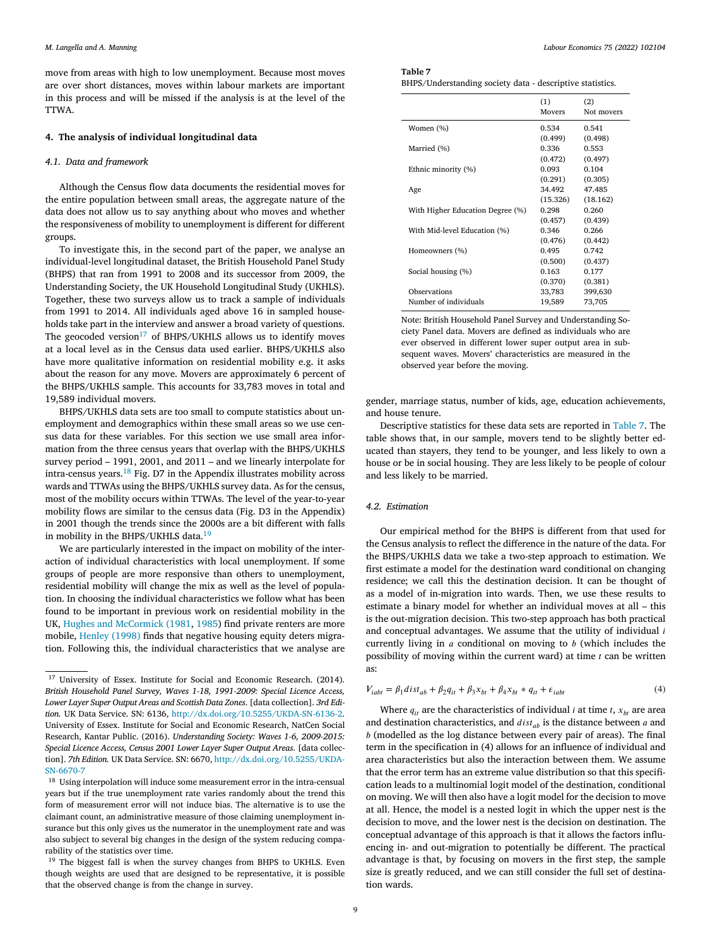<span id="page-8-0"></span>move from areas with high to low unemployment. Because most moves are over short distances, moves within labour markets are important in this process and will be missed if the analysis is at the level of the TTWA.

#### **4. The analysis of individual longitudinal data**

#### *4.1. Data and framework*

Although the Census flow data documents the residential moves for the entire population between small areas, the aggregate nature of the data does not allow us to say anything about who moves and whether the responsiveness of mobility to unemployment is different for different groups.

To investigate this, in the second part of the paper, we analyse an individual-level longitudinal dataset, the British Household Panel Study (BHPS) that ran from 1991 to 2008 and its successor from 2009, the Understanding Society, the UK Household Longitudinal Study (UKHLS). Together, these two surveys allow us to track a sample of individuals from 1991 to 2014. All individuals aged above 16 in sampled households take part in the interview and answer a broad variety of questions. The geocoded version<sup>17</sup> of BHPS/UKHLS allows us to identify moves at a local level as in the Census data used earlier. BHPS/UKHLS also have more qualitative information on residential mobility e.g. it asks about the reason for any move. Movers are approximately 6 percent of the BHPS/UKHLS sample. This accounts for 33,783 moves in total and 19,589 individual movers.

BHPS/UKHLS data sets are too small to compute statistics about unemployment and demographics within these small areas so we use census data for these variables. For this section we use small area information from the three census years that overlap with the BHPS/UKHLS survey period – 1991, 2001, and 2011 – and we linearly interpolate for intra-census years.<sup>18</sup> Fig. D7 in the Appendix illustrates mobility across wards and TTWAs using the BHPS/UKHLS survey data. As for the census, most of the mobility occurs within TTWAs. The level of the year-to-year mobility flows are similar to the census data (Fig. D3 in the Appendix) in 2001 though the trends since the 2000s are a bit different with falls in mobility in the BHPS/UKHLS data.<sup>19</sup>

We are particularly interested in the impact on mobility of the interaction of individual characteristics with local unemployment. If some groups of people are more responsive than others to unemployment, residential mobility will change the mix as well as the level of population. In choosing the individual characteristics we follow what has been found to be important in previous work on residential mobility in the UK, Hughes and [McCormick](#page-12-0) (1981, [1985\)](#page-12-0) find private renters are more mobile, [Henley](#page-12-0) (1998) finds that negative housing equity deters migration. Following this, the individual characteristics that we analyse are

| Table 7 |  |  |  |
|---------|--|--|--|
|---------|--|--|--|

BHPS/Understanding society data - descriptive statistics.

|                                  | (1)      | (2)        |
|----------------------------------|----------|------------|
|                                  | Movers   | Not movers |
| Women (%)                        | 0.534    | 0.541      |
|                                  | (0.499)  | (0.498)    |
| Married (%)                      | 0.336    | 0.553      |
|                                  | (0.472)  | (0.497)    |
| Ethnic minority (%)              | 0.093    | 0.104      |
|                                  | (0.291)  | (0.305)    |
| Age                              | 34.492   | 47.485     |
|                                  | (15.326) | (18.162)   |
| With Higher Education Degree (%) | 0.298    | 0.260      |
|                                  | (0.457)  | (0.439)    |
| With Mid-level Education (%)     | 0.346    | 0.266      |
|                                  | (0.476)  | (0.442)    |
| Homeowners (%)                   | 0.495    | 0.742      |
|                                  | (0.500)  | (0.437)    |
| Social housing (%)               | 0.163    | 0.177      |
|                                  | (0.370)  | (0.381)    |
| Observations                     | 33,783   | 399,630    |
| Number of individuals            | 19,589   | 73,705     |

Note: British Household Panel Survey and Understanding Society Panel data. Movers are defined as individuals who are ever observed in different lower super output area in subsequent waves. Movers' characteristics are measured in the observed year before the moving.

gender, marriage status, number of kids, age, education achievements, and house tenure.

Descriptive statistics for these data sets are reported in Table 7. The table shows that, in our sample, movers tend to be slightly better educated than stayers, they tend to be younger, and less likely to own a house or be in social housing. They are less likely to be people of colour and less likely to be married.

#### *4.2. Estimation*

Our empirical method for the BHPS is different from that used for the Census analysis to reflect the difference in the nature of the data. For the BHPS/UKHLS data we take a two-step approach to estimation. We first estimate a model for the destination ward conditional on changing residence; we call this the destination decision. It can be thought of as a model of in-migration into wards. Then, we use these results to estimate a binary model for whether an individual moves at all – this is the out-migration decision. This two-step approach has both practical and conceptual advantages. We assume that the utility of individual  $i$ currently living in  $a$  conditional on moving to  $b$  (which includes the possibility of moving within the current ward) at time  $t$  can be written as:

$$
V_{i\alpha bt} = \beta_1 dist_{ab} + \beta_2 q_{it} + \beta_3 x_{bt} + \beta_4 x_{bt} * q_{it} + \varepsilon_{i\alpha bt}
$$
\n<sup>(4)</sup>

Where  $q_{it}$  are the characteristics of individual *i* at time *t*,  $x_{ht}$  are area and destination characteristics, and  $dist_{ab}$  is the distance between  $a$  and  $b$  (modelled as the log distance between every pair of areas). The final term in the specification in (4) allows for an influence of individual and area characteristics but also the interaction between them. We assume that the error term has an extreme value distribution so that this specification leads to a multinomial logit model of the destination, conditional on moving. We will then also have a logit model for the decision to move at all. Hence, the model is a nested logit in which the upper nest is the decision to move, and the lower nest is the decision on destination. The conceptual advantage of this approach is that it allows the factors influencing in- and out-migration to potentially be different. The practical advantage is that, by focusing on movers in the first step, the sample size is greatly reduced, and we can still consider the full set of destination wards.

<sup>&</sup>lt;sup>17</sup> University of Essex. Institute for Social and Economic Research. (2014). *British Household Panel Survey, Waves 1-18, 1991-2009: Special Licence Access, Lower Layer Super Output Areas and Scottish Data Zones*. [data collection]. *3rd Edition.* UK Data Service. SN: 6136, [http://dx.doi.org/10.5255/UKDA-SN-6136-2.](http://dx.doi.org/10.5255/UKDA-SN-6136-2) University of Essex. Institute for Social and Economic Research, NatCen Social Research, Kantar Public. (2016). *Understanding Society: Waves 1-6, 2009-2015: Special Licence Access, Census 2001 Lower Layer Super Output Areas*. [data collection]. *7th Edition.* UK Data Service. SN: 6670, [http://dx.doi.org/10.5255/UKDA-](http://dx.doi.org/10.5255/UKDA-SN-6670-7)SN-6670-7

<sup>&</sup>lt;sup>18</sup> Using interpolation will induce some measurement error in the intra-censual years but if the true unemployment rate varies randomly about the trend this form of measurement error will not induce bias. The alternative is to use the claimant count, an administrative measure of those claiming unemployment insurance but this only gives us the numerator in the unemployment rate and was also subject to several big changes in the design of the system reducing comparability of the statistics over time.

<sup>&</sup>lt;sup>19</sup> The biggest fall is when the survey changes from BHPS to UKHLS. Even though weights are used that are designed to be representative, it is possible that the observed change is from the change in survey.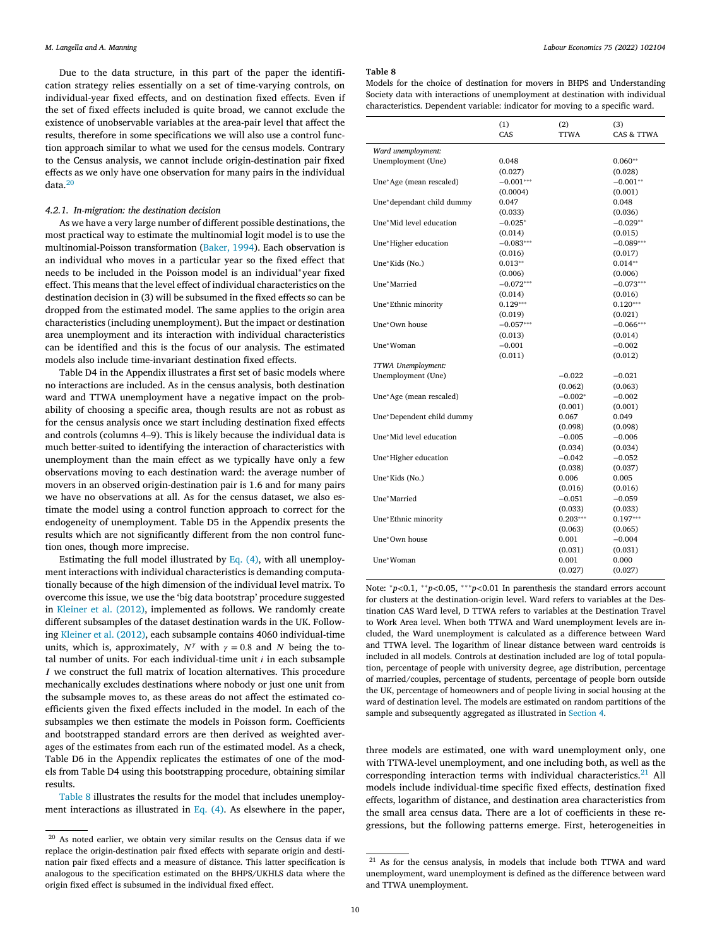<span id="page-9-0"></span>Due to the data structure, in this part of the paper the identification strategy relies essentially on a set of time-varying controls, on individual-year fixed effects, and on destination fixed effects. Even if the set of fixed effects included is quite broad, we cannot exclude the existence of unobservable variables at the area-pair level that affect the results, therefore in some specifications we will also use a control function approach similar to what we used for the census models. Contrary to the Census analysis, we cannot include origin-destination pair fixed effects as we only have one observation for many pairs in the individual data.<sup>20</sup>

#### *4.2.1. In-migration: the destination decision*

As we have a very large number of different possible destinations, the most practical way to estimate the multinomial logit model is to use the multinomial-Poisson transformation [\(Baker,](#page-11-0) 1994). Each observation is an individual who moves in a particular year so the fixed effect that needs to be included in the Poisson model is an individual∗year fixed effect. This means that the level effect of individual characteristics on the destination decision in (3) will be subsumed in the fixed effects so can be dropped from the estimated model. The same applies to the origin area characteristics (including unemployment). But the impact or destination area unemployment and its interaction with individual characteristics can be identified and this is the focus of our analysis. The estimated models also include time-invariant destination fixed effects.

Table D4 in the Appendix illustrates a first set of basic models where no interactions are included. As in the census analysis, both destination ward and TTWA unemployment have a negative impact on the probability of choosing a specific area, though results are not as robust as for the census analysis once we start including destination fixed effects and controls (columns 4–9). This is likely because the individual data is much better-suited to identifying the interaction of characteristics with unemployment than the main effect as we typically have only a few observations moving to each destination ward: the average number of movers in an observed origin-destination pair is 1.6 and for many pairs we have no observations at all. As for the census dataset, we also estimate the model using a control function approach to correct for the endogeneity of unemployment. Table D5 in the Appendix presents the results which are not significantly different from the non control function ones, though more imprecise.

Estimating the full model illustrated by Eq. [\(4\),](#page-8-0) with all unemployment interactions with individual characteristics is demanding computationally because of the high dimension of the individual level matrix. To overcome this issue, we use the 'big data bootstrap' procedure suggested in [Kleiner](#page-12-0) et al. (2012), implemented as follows. We randomly create different subsamples of the dataset destination wards in the UK. Following [Kleiner](#page-12-0) et al. (2012), each subsample contains 4060 individual-time units, which is, approximately,  $N^{\gamma}$  with  $\gamma = 0.8$  and N being the total number of units. For each individual-time unit  $i$  in each subsample  $I$  we construct the full matrix of location alternatives. This procedure mechanically excludes destinations where nobody or just one unit from the subsample moves to, as these areas do not affect the estimated coefficients given the fixed effects included in the model. In each of the subsamples we then estimate the models in Poisson form. Coefficients and bootstrapped standard errors are then derived as weighted averages of the estimates from each run of the estimated model. As a check, Table D6 in the Appendix replicates the estimates of one of the models from Table D4 using this bootstrapping procedure, obtaining similar results.

Table 8 illustrates the results for the model that includes unemployment interactions as illustrated in Eq. [\(4\).](#page-8-0) As elsewhere in the paper,

#### **Table 8**

Models for the choice of destination for movers in BHPS and Understanding Society data with interactions of unemployment at destination with individual characteristics. Dependent variable: indicator for moving to a specific ward.

|                           | (1)<br>CAS  | (2)<br><b>TTWA</b> | (3)<br>CAS & TTWA |
|---------------------------|-------------|--------------------|-------------------|
| Ward unemployment:        |             |                    |                   |
| Unemployment (Une)        | 0.048       |                    | $0.060**$         |
|                           | (0.027)     |                    | (0.028)           |
| Une*Age (mean rescaled)   | $-0.001***$ |                    | $-0.001**$        |
|                           | (0.0004)    |                    | (0.001)           |
| Une*dependant child dummy | 0.047       |                    | 0.048             |
|                           | (0.033)     |                    | (0.036)           |
| Une*Mid level education   | $-0.025*$   |                    | $-0.029**$        |
|                           | (0.014)     |                    | (0.015)           |
| Une*Higher education      | $-0.083***$ |                    | $-0.089***$       |
|                           | (0.016)     |                    | (0.017)           |
| Une*Kids (No.)            | $0.013**$   |                    | $0.014**$         |
|                           | (0.006)     |                    | (0.006)           |
| Une*Married               | $-0.072***$ |                    | $-0.073***$       |
|                           | (0.014)     |                    | (0.016)           |
| Une*Ethnic minority       | $0.129***$  |                    | $0.120***$        |
|                           | (0.019)     |                    | (0.021)           |
| Une*Own house             | $-0.057***$ |                    | $-0.066***$       |
|                           | (0.013)     |                    | (0.014)           |
| Une*Woman                 | $-0.001$    |                    | $-0.002$          |
|                           | (0.011)     |                    | (0.012)           |
| TTWA Unemployment:        |             |                    |                   |
| Unemployment (Une)        |             | $-0.022$           | $-0.021$          |
|                           |             | (0.062)            | (0.063)           |
| Une*Age (mean rescaled)   |             | $-0.002*$          | $-0.002$          |
|                           |             | (0.001)            | (0.001)           |
| Une*Dependent child dummy |             | 0.067              | 0.049             |
|                           |             | (0.098)            | (0.098)           |
| Une*Mid level education   |             | $-0.005$           | $-0.006$          |
|                           |             | (0.034)            | (0.034)           |
| Une*Higher education      |             | $-0.042$           | $-0.052$          |
|                           |             | (0.038)            | (0.037)           |
| Une*Kids (No.)            |             | 0.006              | 0.005             |
|                           |             | (0.016)            | (0.016)           |
| Une*Married               |             | $-0.051$           | $-0.059$          |
|                           |             | (0.033)            | (0.033)           |
| Une*Ethnic minority       |             | $0.203***$         | $0.197***$        |
|                           |             | (0.063)            | (0.065)           |
| Une*Own house             |             | 0.001              | $-0.004$          |
|                           |             | (0.031)            | (0.031)           |
| Une*Woman                 |             | 0.001              | 0.000             |
|                           |             | (0.027)            | (0.027)           |

Note: <sup>∗</sup>*p<*0.1, ∗∗*p<*0.05, ∗∗∗*p<*0.01 In parenthesis the standard errors account for clusters at the destination-origin level. Ward refers to variables at the Destination CAS Ward level, D TTWA refers to variables at the Destination Travel to Work Area level. When both TTWA and Ward unemployment levels are included, the Ward unemployment is calculated as a difference between Ward and TTWA level. The logarithm of linear distance between ward centroids is included in all models. Controls at destination included are log of total population, percentage of people with university degree, age distribution, percentage of married/couples, percentage of students, percentage of people born outside the UK, percentage of homeowners and of people living in social housing at the ward of destination level. The models are estimated on random partitions of the sample and subsequently aggregated as illustrated in [Section](#page-8-0) 4.

three models are estimated, one with ward unemployment only, one with TTWA-level unemployment, and one including both, as well as the corresponding interaction terms with individual characteristics. $21$  All models include individual-time specific fixed effects, destination fixed effects, logarithm of distance, and destination area characteristics from the small area census data. There are a lot of coefficients in these regressions, but the following patterns emerge. First, heterogeneities in

 $\overline{a^{20}}$  As noted earlier, we obtain very similar results on the Census data if we replace the origin-destination pair fixed effects with separate origin and destination pair fixed effects and a measure of distance. This latter specification is analogous to the specification estimated on the BHPS/UKHLS data where the origin fixed effect is subsumed in the individual fixed effect.

<sup>&</sup>lt;sup>21</sup> As for the census analysis, in models that include both TTWA and ward unemployment, ward unemployment is defined as the difference between ward and TTWA unemployment.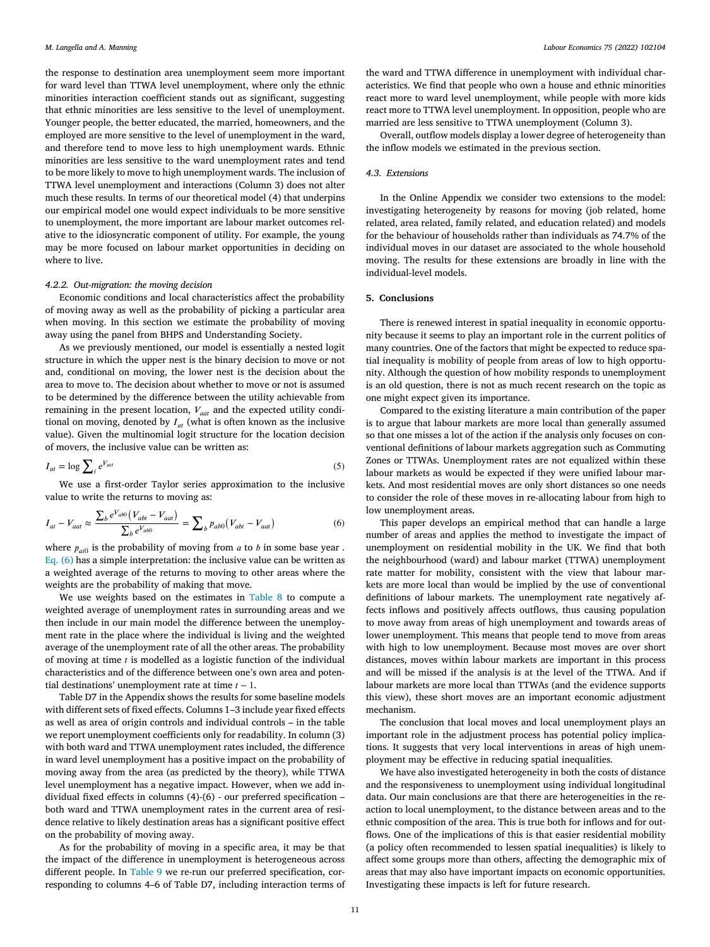<span id="page-10-0"></span>the response to destination area unemployment seem more important for ward level than TTWA level unemployment, where only the ethnic minorities interaction coefficient stands out as significant, suggesting that ethnic minorities are less sensitive to the level of unemployment. Younger people, the better educated, the married, homeowners, and the employed are more sensitive to the level of unemployment in the ward, and therefore tend to move less to high unemployment wards. Ethnic minorities are less sensitive to the ward unemployment rates and tend to be more likely to move to high unemployment wards. The inclusion of TTWA level unemployment and interactions (Column 3) does not alter much these results. In terms of our theoretical model (4) that underpins our empirical model one would expect individuals to be more sensitive to unemployment, the more important are labour market outcomes relative to the idiosyncratic component of utility. For example, the young may be more focused on labour market opportunities in deciding on where to live.

#### *4.2.2. Out-migration: the moving decision*

Economic conditions and local characteristics affect the probability of moving away as well as the probability of picking a particular area when moving. In this section we estimate the probability of moving away using the panel from BHPS and Understanding Society.

As we previously mentioned, our model is essentially a nested logit structure in which the upper nest is the binary decision to move or not and, conditional on moving, the lower nest is the decision about the area to move to. The decision about whether to move or not is assumed to be determined by the difference between the utility achievable from remaining in the present location,  $V_{\text{cat}}$  and the expected utility conditional on moving, denoted by  $I_{at}$  (what is often known as the inclusive value). Given the multinomial logit structure for the location decision of movers, the inclusive value can be written as:

$$
I_{at} = \log \sum_{i} e^{V_{ait}} \tag{5}
$$

We use a first-order Taylor series approximation to the inclusive value to write the returns to moving as:

$$
I_{at} - V_{aat} \approx \frac{\sum_b e^{V_{ab0}} (V_{abt} - V_{aat})}{\sum_b e^{V_{ab0}}} = \sum_b p_{ab0} (V_{abt} - V_{aat})
$$
 (6)

where  $p_{ai0}$  is the probability of moving from  $a$  to  $b$  in some base year. Eq. (6) has a simple interpretation: the inclusive value can be written as a weighted average of the returns to moving to other areas where the weights are the probability of making that move.

We use weights based on the estimates in [Table](#page-9-0) 8 to compute a weighted average of unemployment rates in surrounding areas and we then include in our main model the difference between the unemployment rate in the place where the individual is living and the weighted average of the unemployment rate of all the other areas. The probability of moving at time  $t$  is modelled as a logistic function of the individual characteristics and of the difference between one's own area and potential destinations' unemployment rate at time  $t - 1$ .

Table D7 in the Appendix shows the results for some baseline models with different sets of fixed effects. Columns 1–3 include year fixed effects as well as area of origin controls and individual controls – in the table we report unemployment coefficients only for readability. In column (3) with both ward and TTWA unemployment rates included, the difference in ward level unemployment has a positive impact on the probability of moving away from the area (as predicted by the theory), while TTWA level unemployment has a negative impact. However, when we add individual fixed effects in columns (4)-(6) - our preferred specification – both ward and TTWA unemployment rates in the current area of residence relative to likely destination areas has a significant positive effect on the probability of moving away.

As for the probability of moving in a specific area, it may be that the impact of the difference in unemployment is heterogeneous across different people. In [Table](#page-11-0) 9 we re-run our preferred specification, corresponding to columns 4–6 of Table D7, including interaction terms of

the ward and TTWA difference in unemployment with individual characteristics. We find that people who own a house and ethnic minorities react more to ward level unemployment, while people with more kids react more to TTWA level unemployment. In opposition, people who are married are less sensitive to TTWA unemployment (Column 3).

Overall, outflow models display a lower degree of heterogeneity than the inflow models we estimated in the previous section.

#### *4.3. Extensions*

In the Online Appendix we consider two extensions to the model: investigating heterogeneity by reasons for moving (job related, home related, area related, family related, and education related) and models for the behaviour of households rather than individuals as 74.7% of the individual moves in our dataset are associated to the whole household moving. The results for these extensions are broadly in line with the individual-level models.

#### **5. Conclusions**

There is renewed interest in spatial inequality in economic opportunity because it seems to play an important role in the current politics of many countries. One of the factors that might be expected to reduce spatial inequality is mobility of people from areas of low to high opportunity. Although the question of how mobility responds to unemployment is an old question, there is not as much recent research on the topic as one might expect given its importance.

Compared to the existing literature a main contribution of the paper is to argue that labour markets are more local than generally assumed so that one misses a lot of the action if the analysis only focuses on conventional definitions of labour markets aggregation such as Commuting Zones or TTWAs. Unemployment rates are not equalized within these labour markets as would be expected if they were unified labour markets. And most residential moves are only short distances so one needs to consider the role of these moves in re-allocating labour from high to low unemployment areas.

This paper develops an empirical method that can handle a large number of areas and applies the method to investigate the impact of unemployment on residential mobility in the UK. We find that both the neighbourhood (ward) and labour market (TTWA) unemployment rate matter for mobility, consistent with the view that labour markets are more local than would be implied by the use of conventional definitions of labour markets. The unemployment rate negatively affects inflows and positively affects outflows, thus causing population to move away from areas of high unemployment and towards areas of lower unemployment. This means that people tend to move from areas with high to low unemployment. Because most moves are over short distances, moves within labour markets are important in this process and will be missed if the analysis is at the level of the TTWA. And if labour markets are more local than TTWAs (and the evidence supports this view), these short moves are an important economic adjustment mechanism.

The conclusion that local moves and local unemployment plays an important role in the adjustment process has potential policy implications. It suggests that very local interventions in areas of high unemployment may be effective in reducing spatial inequalities.

We have also investigated heterogeneity in both the costs of distance and the responsiveness to unemployment using individual longitudinal data. Our main conclusions are that there are heterogeneities in the reaction to local unemployment, to the distance between areas and to the ethnic composition of the area. This is true both for inflows and for outflows. One of the implications of this is that easier residential mobility (a policy often recommended to lessen spatial inequalities) is likely to affect some groups more than others, affecting the demographic mix of areas that may also have important impacts on economic opportunities. Investigating these impacts is left for future research.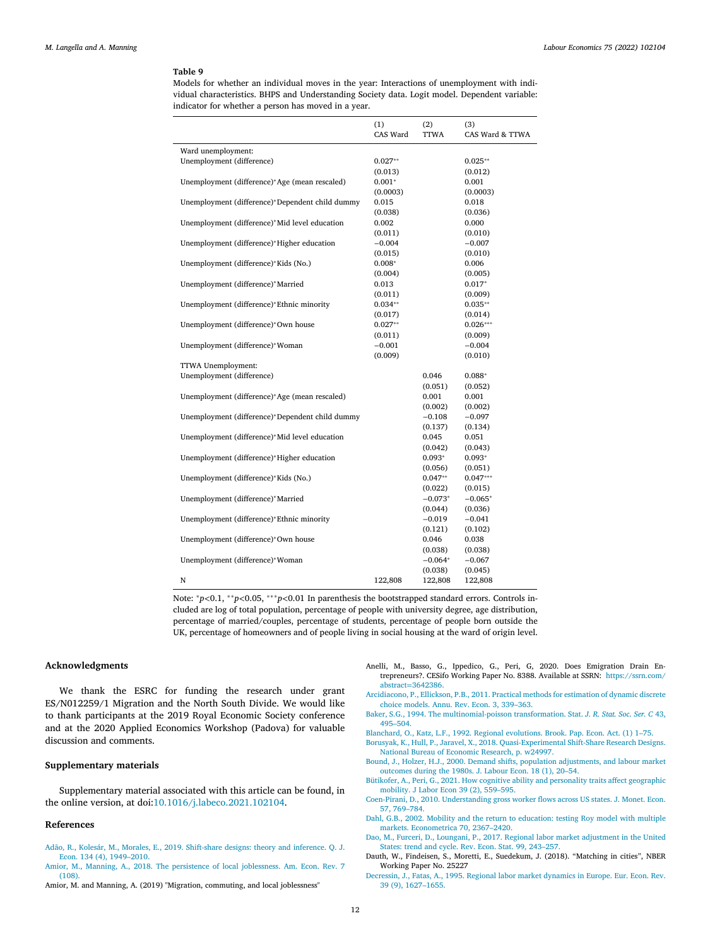<span id="page-11-0"></span>Models for whether an individual moves in the year: Interactions of unemployment with individual characteristics. BHPS and Understanding Society data. Logit model. Dependent variable: indicator for whether a person has moved in a year.

|                                                 | (1)<br>CAS Ward | (2)<br><b>TTWA</b> | (3)<br>CAS Ward & TTWA |
|-------------------------------------------------|-----------------|--------------------|------------------------|
| Ward unemployment:                              |                 |                    |                        |
| Unemployment (difference)                       | $0.027**$       |                    | $0.025**$              |
|                                                 | (0.013)         |                    | (0.012)                |
| Unemployment (difference)*Age (mean rescaled)   | $0.001*$        |                    | 0.001                  |
|                                                 | (0.0003)        |                    | (0.0003)               |
| Unemployment (difference)*Dependent child dummy | 0.015           |                    | 0.018                  |
|                                                 | (0.038)         |                    | (0.036)                |
| Unemployment (difference)*Mid level education   | 0.002           |                    | 0.000                  |
|                                                 | (0.011)         |                    | (0.010)                |
| Unemployment (difference)*Higher education      | $-0.004$        |                    | $-0.007$               |
|                                                 | (0.015)         |                    | (0.010)                |
| Unemployment (difference)*Kids (No.)            | $0.008*$        |                    | 0.006                  |
|                                                 | (0.004)         |                    | (0.005)                |
| Unemployment (difference)*Married               | 0.013           |                    | $0.017*$               |
|                                                 | (0.011)         |                    | (0.009)                |
| Unemployment (difference)*Ethnic minority       | $0.034**$       |                    | $0.035**$              |
|                                                 | (0.017)         |                    | (0.014)                |
| Unemployment (difference)*Own house             | $0.027**$       |                    | $0.026***$             |
|                                                 | (0.011)         |                    | (0.009)                |
| Unemployment (difference)*Woman                 | $-0.001$        |                    | $-0.004$               |
|                                                 | (0.009)         |                    | (0.010)                |
| TTWA Unemployment:                              |                 |                    |                        |
| Unemployment (difference)                       |                 | 0.046              | $0.088*$               |
|                                                 |                 | (0.051)            | (0.052)                |
| Unemployment (difference)*Age (mean rescaled)   |                 | 0.001              | 0.001                  |
|                                                 |                 | (0.002)            | (0.002)                |
| Unemployment (difference)*Dependent child dummy |                 | $-0.108$           | $-0.097$               |
|                                                 |                 | (0.137)            | (0.134)                |
| Unemployment (difference)*Mid level education   |                 | 0.045              | 0.051                  |
|                                                 |                 | (0.042)            | (0.043)                |
| Unemployment (difference)*Higher education      |                 | $0.093*$           | $0.093*$               |
|                                                 |                 | (0.056)            | (0.051)                |
| Unemployment (difference)*Kids (No.)            |                 | $0.047**$          | $0.047***$             |
|                                                 |                 | (0.022)            | (0.015)                |
| Unemployment (difference)*Married               |                 | $-0.073*$          | $-0.065*$              |
|                                                 |                 | (0.044)            | (0.036)                |
| Unemployment (difference)*Ethnic minority       |                 | $-0.019$           | $-0.041$               |
|                                                 |                 | (0.121)            | (0.102)                |
| Unemployment (difference)*Own house             |                 | 0.046              | 0.038                  |
|                                                 |                 | (0.038)            | (0.038)                |
| Unemployment (difference)*Woman                 |                 | $-0.064*$          | $-0.067$               |
|                                                 |                 | (0.038)            | (0.045)                |
| N                                               | 122,808         | 122,808            | 122,808                |

Note: <sup>∗</sup>*p<*0.1, ∗∗*p<*0.05, ∗∗∗*p<*0.01 In parenthesis the bootstrapped standard errors. Controls included are log of total population, percentage of people with university degree, age distribution, percentage of married/couples, percentage of students, percentage of people born outside the UK, percentage of homeowners and of people living in social housing at the ward of origin level.

#### **Acknowledgments**

We thank the ESRC for funding the research under grant ES/N012259/1 Migration and the North South Divide. We would like to thank participants at the 2019 Royal Economic Society conference and at the 2020 Applied Economics Workshop (Padova) for valuable discussion and comments.

#### **Supplementary materials**

Supplementary material associated with this article can be found, in the online version, at doi[:10.1016/j.labeco.2021.102104.](https://doi.org/10.1016/j.labeco.2021.102104)

#### **References**

- [Adão,](http://refhub.elsevier.com/S0927-5371(21)00139-1/sbref0001) R., [Kolesár,](http://refhub.elsevier.com/S0927-5371(21)00139-1/sbref0001) M., [Morales,](http://refhub.elsevier.com/S0927-5371(21)00139-1/sbref0001) E., 2019. Shift-share designs: theory and inference. Q. J. Econ. 134 (4), [1949–2010.](http://refhub.elsevier.com/S0927-5371(21)00139-1/sbref0001)
- [Amior,](http://refhub.elsevier.com/S0927-5371(21)00139-1/sbref0002) M., [Manning,](http://refhub.elsevier.com/S0927-5371(21)00139-1/sbref0002) A., 2018. The persistence of local [joblessness.](http://refhub.elsevier.com/S0927-5371(21)00139-1/sbref0002) Am. Econ. Rev. 7 (108).
- Amior, M. and Manning, A. (2019) "Migration, commuting, and local joblessness"
- Anelli, M., Basso, G., Ippedico, G., Peri, G, 2020. Does Emigration Drain Entrepreneurs?. CESifo Working Paper No. 8388. Available at SSRN: [https://ssrn.com/](https://ssrn.com/abstract=3642386) abstract=3642386.
- [Arcidiacono,](http://refhub.elsevier.com/S0927-5371(21)00139-1/sbref0005) P., [Ellickson,](http://refhub.elsevier.com/S0927-5371(21)00139-1/sbref0005) P.B., 2011. Practical methods for [estimation](http://refhub.elsevier.com/S0927-5371(21)00139-1/sbref0005) of dynamic discrete choice models. Annu. Rev. Econ. 3, 339–363.
- [Baker,](http://refhub.elsevier.com/S0927-5371(21)00139-1/sbref0006) S.G., 1994. The [multinomial-poisson](http://refhub.elsevier.com/S0927-5371(21)00139-1/sbref0006) transformation. Stat. *J. R. Stat. Soc. Ser. C* 43, 495–504.
- [Blanchard,](http://refhub.elsevier.com/S0927-5371(21)00139-1/sbref0007) O., [Katz,](http://refhub.elsevier.com/S0927-5371(21)00139-1/sbref0007) L.F., 1992. Regional [evolutions.](http://refhub.elsevier.com/S0927-5371(21)00139-1/sbref0007) Brook. Pap. Econ. Act. (1) 1–75.
- [Borusyak,](http://refhub.elsevier.com/S0927-5371(21)00139-1/sbref0008) K., [Hull,](http://refhub.elsevier.com/S0927-5371(21)00139-1/sbref0008) P., [Jaravel,](http://refhub.elsevier.com/S0927-5371(21)00139-1/sbref0008) X., 2018. [Quasi-Experimental](http://refhub.elsevier.com/S0927-5371(21)00139-1/sbref0008) Shift-Share Research Designs. National Bureau of Economic Research, p. w24997.
- [Bound,](http://refhub.elsevier.com/S0927-5371(21)00139-1/sbref0009) J., [Holzer,](http://refhub.elsevier.com/S0927-5371(21)00139-1/sbref0009) H.J., 2000. Demand shifts, population [adjustments,](http://refhub.elsevier.com/S0927-5371(21)00139-1/sbref0009) and labour market outcomes during the 1980s. J. Labour Econ. 18 (1), 20–54.
- [Bütikofer,](http://refhub.elsevier.com/S0927-5371(21)00139-1/sbref0037) A., [Peri,](http://refhub.elsevier.com/S0927-5371(21)00139-1/sbref0037) G., 2021. How cognitive ability and [personality](http://refhub.elsevier.com/S0927-5371(21)00139-1/sbref0037) traits affect geographic mobility. J Labor Econ 39 (2), 559–595.
- [Coen-Pirani,](http://refhub.elsevier.com/S0927-5371(21)00139-1/sbref0010) D., 2010. [Understanding](http://refhub.elsevier.com/S0927-5371(21)00139-1/sbref0010) gross worker flows across US states. J. Monet. Econ. 57, 769–784.
- [Dahl,](http://refhub.elsevier.com/S0927-5371(21)00139-1/sbref0011) G.B., 2002. Mobility and the return to education: testing Roy model with multiple markets. [Econometrica](http://refhub.elsevier.com/S0927-5371(21)00139-1/sbref0011) 70, 2367–2420.
- [Dao,](http://refhub.elsevier.com/S0927-5371(21)00139-1/sbref0012) M., [Furceri,](http://refhub.elsevier.com/S0927-5371(21)00139-1/sbref0012) D., [Loungani,](http://refhub.elsevier.com/S0927-5371(21)00139-1/sbref0012) P., 2017. Regional labor market [adjustment](http://refhub.elsevier.com/S0927-5371(21)00139-1/sbref0012) in the United States: trend and cycle. Rev. Econ. Stat. 99, 243–257.

[Decressin,](http://refhub.elsevier.com/S0927-5371(21)00139-1/sbref0014) J., [Fatas,](http://refhub.elsevier.com/S0927-5371(21)00139-1/sbref0014) A., 1995. Regional labor market dynamics in Europe. Eur. Econ. Rev. 39 (9), [1627–1655.](http://refhub.elsevier.com/S0927-5371(21)00139-1/sbref0014)

Dauth, W., Findeisen, S., Moretti, E., Suedekum, J. (2018). "Matching in cities", NBER Working Paper No. 25227